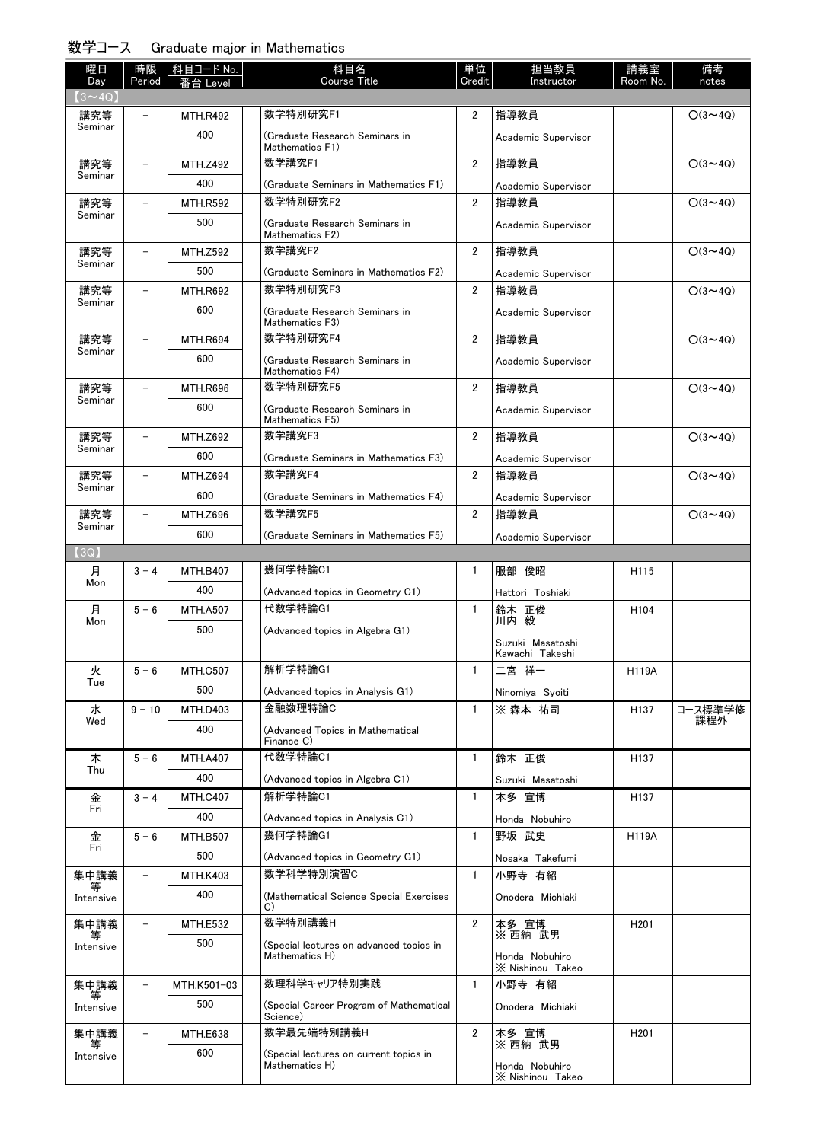## 数学コース Graduate major in Mathematics

| 曜日                   | 時限                       | 科目コード No.              | 科目名                                                       | 単位             | 担当教員                                | 講義室              | 備考             |
|----------------------|--------------------------|------------------------|-----------------------------------------------------------|----------------|-------------------------------------|------------------|----------------|
| Day                  | Period                   | Level                  | <b>Course Title</b>                                       | Credit         | Instructor                          | Room No.         | notes          |
| $(3 \sim 4Q)$<br>講究等 |                          | <b>MTH.R492</b>        | 数学特別研究F1                                                  | $\overline{2}$ | 指導教員                                |                  | $O(3 \sim 4Q)$ |
| Seminar              |                          | 400                    | (Graduate Research Seminars in                            |                | Academic Supervisor                 |                  |                |
|                      |                          |                        | Mathematics F1)                                           |                |                                     |                  |                |
| 講究等<br>Seminar       |                          | <b>MTH.Z492</b>        | 数学講究F1                                                    | 2              | 指導教員                                |                  | $O(3 \sim 4Q)$ |
|                      |                          | 400                    | (Graduate Seminars in Mathematics F1)                     |                | Academic Supervisor                 |                  |                |
| 講究等<br>Seminar       | $\overline{\phantom{0}}$ | <b>MTH.R592</b>        | 数学特別研究F2                                                  | $\overline{2}$ | 指導教員                                |                  | $O(3 \sim 4Q)$ |
|                      |                          | 500                    | (Graduate Research Seminars in<br>Mathematics F2)         |                | Academic Supervisor                 |                  |                |
| 講究等                  | $\overline{\phantom{0}}$ | <b>MTH.Z592</b>        | 数学講究F2                                                    | $\overline{2}$ | 指導教員                                |                  | $O(3 \sim 4Q)$ |
| Seminar              |                          | 500                    | (Graduate Seminars in Mathematics F2)                     |                | Academic Supervisor                 |                  |                |
| 講究等                  |                          | <b>MTH.R692</b>        | 数学特別研究F3                                                  | $\overline{2}$ | 指導教員                                |                  | $O(3 \sim 4Q)$ |
| Seminar              |                          | 600                    | (Graduate Research Seminars in<br>Mathematics F3)         |                | Academic Supervisor                 |                  |                |
| 講究等                  |                          | <b>MTH.R694</b>        | 数学特別研究F4                                                  | 2              | 指導教員                                |                  | $O(3 \sim 4Q)$ |
| Seminar              |                          | 600                    | (Graduate Research Seminars in<br>Mathematics F4)         |                | Academic Supervisor                 |                  |                |
| 講究等                  |                          | <b>MTH.R696</b>        | 数学特別研究F5                                                  | 2              | 指導教員                                |                  | $O(3 \sim 4Q)$ |
| Seminar              |                          | 600                    | (Graduate Research Seminars in                            |                | Academic Supervisor                 |                  |                |
|                      |                          |                        | Mathematics F5)                                           |                |                                     |                  |                |
| 講究等<br>Seminar       |                          | <b>MTH.Z692</b>        | 数学講究F3                                                    | 2              | 指導教員                                |                  | $O(3 \sim 4Q)$ |
|                      |                          | 600                    | (Graduate Seminars in Mathematics F3)                     |                | Academic Supervisor                 |                  |                |
| 講究等<br>Seminar       |                          | <b>MTH.Z694</b>        | 数学講究F4                                                    | $\overline{2}$ | 指導教員                                |                  | $O(3 \sim 4Q)$ |
|                      |                          | 600                    | (Graduate Seminars in Mathematics F4)                     |                | Academic Supervisor                 |                  |                |
| 講究等<br>Seminar       |                          | <b>MTH.Z696</b>        | 数学講究F5                                                    | 2              | 指導教員                                |                  | $O(3 \sim 4Q)$ |
|                      |                          | 600                    | (Graduate Seminars in Mathematics F5)                     |                | Academic Supervisor                 |                  |                |
| (3Q)                 |                          |                        | 幾何学特論C1                                                   |                |                                     |                  |                |
| 月<br>Mon             | $3 - 4$                  | <b>MTH.B407</b>        |                                                           | 1              | 服部 俊昭                               | H115             |                |
|                      |                          | 400                    | (Advanced topics in Geometry C1)<br>代数学特論G1               | $\mathbf{1}$   | Hattori Toshiaki                    |                  |                |
| 月<br>Mon             | $5 - 6$                  | <b>MTH.A507</b>        |                                                           |                | 鈴木 正俊<br>川内 毅                       | H104             |                |
|                      |                          | 500                    | (Advanced topics in Algebra G1)                           |                | Suzuki Masatoshi<br>Kawachi Takeshi |                  |                |
| 火                    | $5 - 6$                  | <b>MTH.C507</b>        | 解析学特論G1                                                   | 1              | 二宮 祥一                               | H119A            |                |
| Tue                  |                          | 500                    | (Advanced topics in Analysis G1)                          |                | Ninomiya Syoiti                     |                  |                |
| 水                    | $9 - 10$                 | <b>MTH.D403</b>        | 金融数理特論C                                                   | $\mathbf{1}$   | ※ 森本 祐司                             | H137             | コース標準学修        |
| Wed                  |                          | 400                    | (Advanced Topics in Mathematical                          |                |                                     |                  | 課程外            |
|                      |                          |                        | Finance C)                                                |                |                                     |                  |                |
| 木<br>Thu             | $5 - 6$                  | <b>MTH.A407</b>        | 代数学特論C1                                                   | $\mathbf{1}$   | 鈴木 正俊                               | H137             |                |
|                      |                          | 400                    | (Advanced topics in Algebra C1)<br>解析学特論C1                |                | Suzuki Masatoshi                    |                  |                |
| 金<br>Fri             | $3 - 4$                  | <b>MTH.C407</b>        |                                                           | $\mathbf{1}$   | 本多 宣博                               | H137             |                |
|                      |                          | 400                    | (Advanced topics in Analysis C1)<br>幾何学特論G1               |                | Honda Nobuhiro                      |                  |                |
| 金<br>Fri             | $5 - 6$                  | <b>MTH.B507</b><br>500 |                                                           | $\mathbf{1}$   | 野坂 武史                               | <b>H119A</b>     |                |
|                      | $\overline{\phantom{0}}$ |                        | (Advanced topics in Geometry G1)<br>数学科学特別演習C             | $\mathbf{1}$   | Nosaka Takefumi<br>小野寺 有紹           |                  |                |
| 集中講義<br>等            |                          | <b>MTH.K403</b><br>400 |                                                           |                |                                     |                  |                |
| Intensive            |                          |                        | (Mathematical Science Special Exercises)<br>C)            |                | Onodera Michiaki                    |                  |                |
| 集中講義                 | $\overline{\phantom{0}}$ | <b>MTH.E532</b>        | 数学特別講義H                                                   | $\overline{2}$ | 本多 宣博<br>※ 西納 武男                    | H <sub>201</sub> |                |
| 等<br>Intensive       |                          | 500                    | (Special lectures on advanced topics in<br>Mathematics H) |                | Honda Nobuhiro                      |                  |                |
| 集中講義                 | $\overline{\phantom{0}}$ | MTH.K501-03            | 数理科学キャリア特別実践                                              | $\mathbf{1}$   | X Nishinou Takeo<br>小野寺 有紹          |                  |                |
| 等                    |                          | 500                    | (Special Career Program of Mathematical                   |                | Onodera Michiaki                    |                  |                |
| Intensive            |                          |                        | Science)                                                  |                |                                     |                  |                |
| 集中講義<br>等            |                          | MTH.E638               | 数学最先端特別講義H                                                | 2              | 本多 宣博<br>※ 西納 武男                    | H <sub>201</sub> |                |
| Intensive            |                          | 600                    | (Special lectures on current topics in<br>Mathematics H)  |                | Honda Nobuhiro<br>X Nishinou Takeo  |                  |                |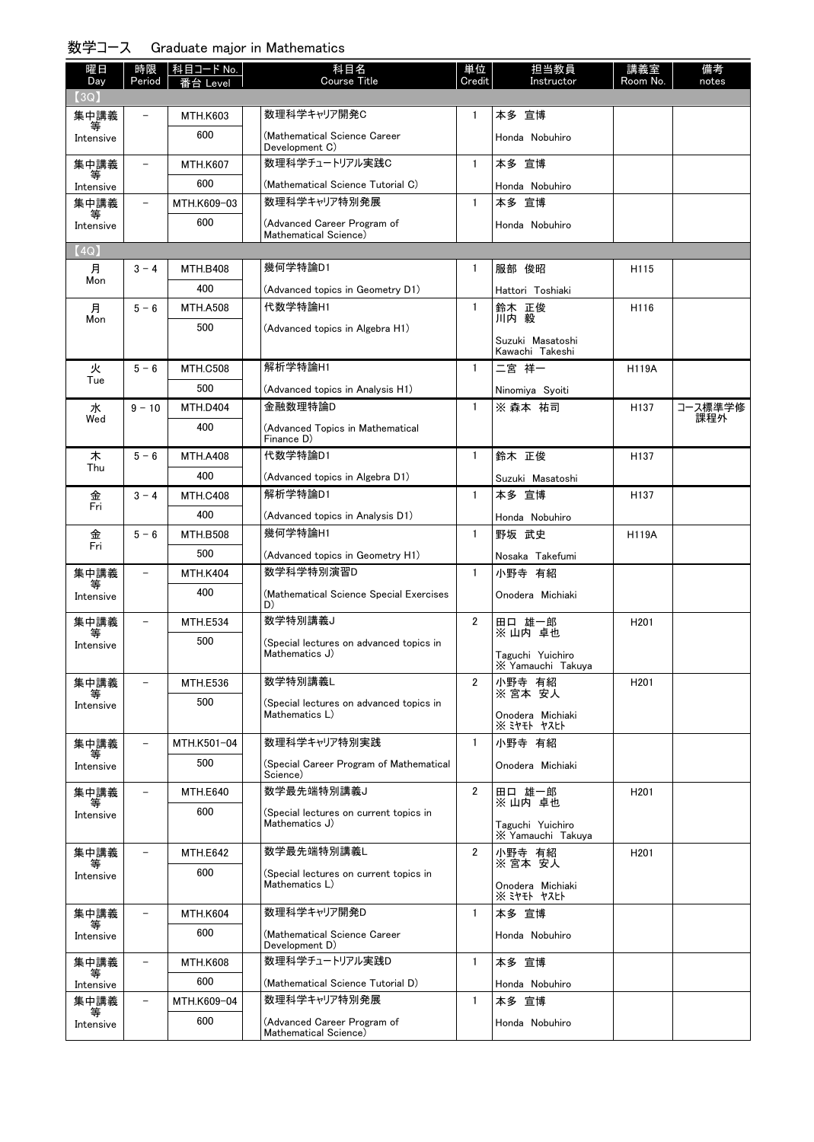## 数学コース Graduate major in Mathematics

| 曜日<br>Day      | 時限<br>Period             | 科目コード No.<br>≸台 Level | 科目名<br><b>Course Title</b>                                | 単位<br>Credit   | 担当教員<br>Instructor                    | 講義室<br>Room No.  | 備考<br>notes |
|----------------|--------------------------|-----------------------|-----------------------------------------------------------|----------------|---------------------------------------|------------------|-------------|
| (3Q)           |                          |                       |                                                           |                |                                       |                  |             |
| 集中講義           |                          | <b>MTH.K603</b>       | 数理科学キャリア開発C                                               | 1              | 本多 宣博                                 |                  |             |
| Intensive      |                          | 600                   | (Mathematical Science Career<br>Development C)            |                | Honda Nobuhiro                        |                  |             |
| 集中講義           |                          | <b>MTH.K607</b>       | 数理科学チュートリアル実践C                                            | $\mathbf{1}$   | 本多 宣博                                 |                  |             |
| Intensive      |                          | 600                   | (Mathematical Science Tutorial C)                         |                | Honda Nobuhiro                        |                  |             |
| 集中講義           |                          | MTH.K609-03           | 数理科学キャリア特別発展                                              | $\mathbf{1}$   | 本多 宣博                                 |                  |             |
| Intensive      |                          | 600                   | (Advanced Career Program of<br>Mathematical Science)      |                | Honda Nobuhiro                        |                  |             |
| (4Q)           |                          |                       |                                                           |                |                                       |                  |             |
| 月              | $3 - 4$                  | <b>MTH.B408</b>       | 幾何学特論D1                                                   | 1              | 服部 俊昭                                 | H <sub>115</sub> |             |
| Mon            |                          | 400                   | (Advanced topics in Geometry D1)                          |                | Hattori Toshiaki                      |                  |             |
| 月              | $5 - 6$                  | <b>MTH.A508</b>       | 代数学特論H1                                                   | $\mathbf{1}$   | 鈴木 正俊                                 | H116             |             |
| Mon            |                          | 500                   | (Advanced topics in Algebra H1)                           |                | 川内 毅                                  |                  |             |
|                |                          |                       |                                                           |                | Suzuki Masatoshi<br>Kawachi Takeshi   |                  |             |
| 火              | $5 - 6$                  | <b>MTH.C508</b>       | 解析学特論H1                                                   | $\mathbf{1}$   | 二宮 祥一                                 | H119A            |             |
| Tue            |                          | 500                   | (Advanced topics in Analysis H1)                          |                | Ninomiya Syoiti                       |                  |             |
| 水              | $9 - 10$                 | <b>MTH.D404</b>       | 金融数理特論D                                                   | $\mathbf{1}$   | ※ 森本 祐司                               | H137             | コース標準学修     |
| Wed            |                          | 400                   | (Advanced Topics in Mathematical<br>Finance D)            |                |                                       |                  | 課程外         |
| 木<br>Thu       | $5 - 6$                  | <b>MTH.A408</b>       | 代数学特論D1                                                   | $\mathbf{1}$   | 鈴木 正俊                                 | H <sub>137</sub> |             |
|                |                          | 400                   | (Advanced topics in Algebra D1)                           |                | Suzuki Masatoshi                      |                  |             |
| 金<br>Fri       | $3 - 4$                  | <b>MTH.C408</b>       | 解析学特論D1                                                   | $\mathbf{1}$   | 本多 宣博                                 | H <sub>137</sub> |             |
|                |                          | 400                   | (Advanced topics in Analysis D1)                          |                | Honda Nobuhiro                        |                  |             |
| 金<br>Fri       | $5 - 6$                  | <b>MTH.B508</b>       | 幾何学特論H1                                                   | $\mathbf{1}$   | 野坂 武史                                 | <b>H119A</b>     |             |
|                |                          | 500                   | (Advanced topics in Geometry H1)                          |                | Nosaka Takefumi                       |                  |             |
| 集中講義<br>等      | $\overline{\phantom{0}}$ | <b>MTH.K404</b>       | 数学科学特別演習D                                                 | $\mathbf{1}$   | 小野寺 有紹                                |                  |             |
| Intensive      |                          | 400                   | (Mathematical Science Special Exercises<br>D)             |                | Onodera Michiaki                      |                  |             |
| 集中講義<br>等      | $\overline{\phantom{0}}$ | <b>MTH.E534</b>       | 数学特別講義J                                                   | $\overline{2}$ | 田口 雄一郎<br>※ 山内 卓也                     | H <sub>201</sub> |             |
| Intensive      |                          | 500                   | (Special lectures on advanced topics in<br>Mathematics J) |                | Taguchi Yuichiro<br>X Yamauchi Takuya |                  |             |
| 集中講義           |                          | <b>MTH.E536</b>       | 数学特別講義L                                                   | 2              | 小野寺 有紹                                | H <sub>201</sub> |             |
| Intensive      |                          | 500                   | (Special lectures on advanced topics in                   |                | ※宮本 安人                                |                  |             |
|                |                          |                       | Mathematics L)                                            |                | Onodera Michiaki<br>※ ミヤモト ヤスヒト       |                  |             |
| 集中講義           |                          | MTH.K501-04           | 数理科学キャリア特別実践                                              | $\mathbf{1}$   | 小野寺 有紹                                |                  |             |
| 等<br>Intensive |                          | 500                   | (Special Career Program of Mathematical<br>Science)       |                | Onodera Michiaki                      |                  |             |
| 集中講義<br>等      |                          | <b>MTH.E640</b>       | 数学最先端特別講義J                                                | $\overline{2}$ | 田口 雄一郎<br>※山内 卓也                      | H <sub>201</sub> |             |
| Intensive      |                          | 600                   | (Special lectures on current topics in<br>Mathematics J)  |                | Taguchi Yuichiro<br>X Yamauchi Takuya |                  |             |
| 集中講義           | $\overline{\phantom{0}}$ | <b>MTH.E642</b>       | 数学最先端特別講義L                                                | $\overline{2}$ | 小野寺 有紹<br>※ 宮本 安人                     | H <sub>201</sub> |             |
| 等<br>Intensive |                          | 600                   | (Special lectures on current topics in                    |                |                                       |                  |             |
|                |                          |                       | Mathematics L)                                            |                | Onodera Michiaki<br>$X$ ミヤモト ヤスヒト     |                  |             |
| 集中講義           |                          | <b>MTH.K604</b>       | 数理科学キャリア開発D                                               | $\mathbf{1}$   | 本多 宣博                                 |                  |             |
| Intensive      |                          | 600                   | (Mathematical Science Career<br>Development D)            |                | Honda Nobuhiro                        |                  |             |
| 集中講義<br>等      | $\overline{\phantom{0}}$ | <b>MTH.K608</b>       | 数理科学チュートリアル実践D                                            | $\mathbf{1}$   | 本多 宣博                                 |                  |             |
| Intensive      |                          | 600                   | (Mathematical Science Tutorial D)                         |                | Honda Nobuhiro                        |                  |             |
| 集中講義<br>等      | $\overline{\phantom{0}}$ | MTH.K609-04           | 数理科学キャリア特別発展                                              | $\mathbf{1}$   | 本多 宣博                                 |                  |             |
| Intensive      |                          | 600                   | (Advanced Career Program of<br>Mathematical Science)      |                | Honda Nobuhiro                        |                  |             |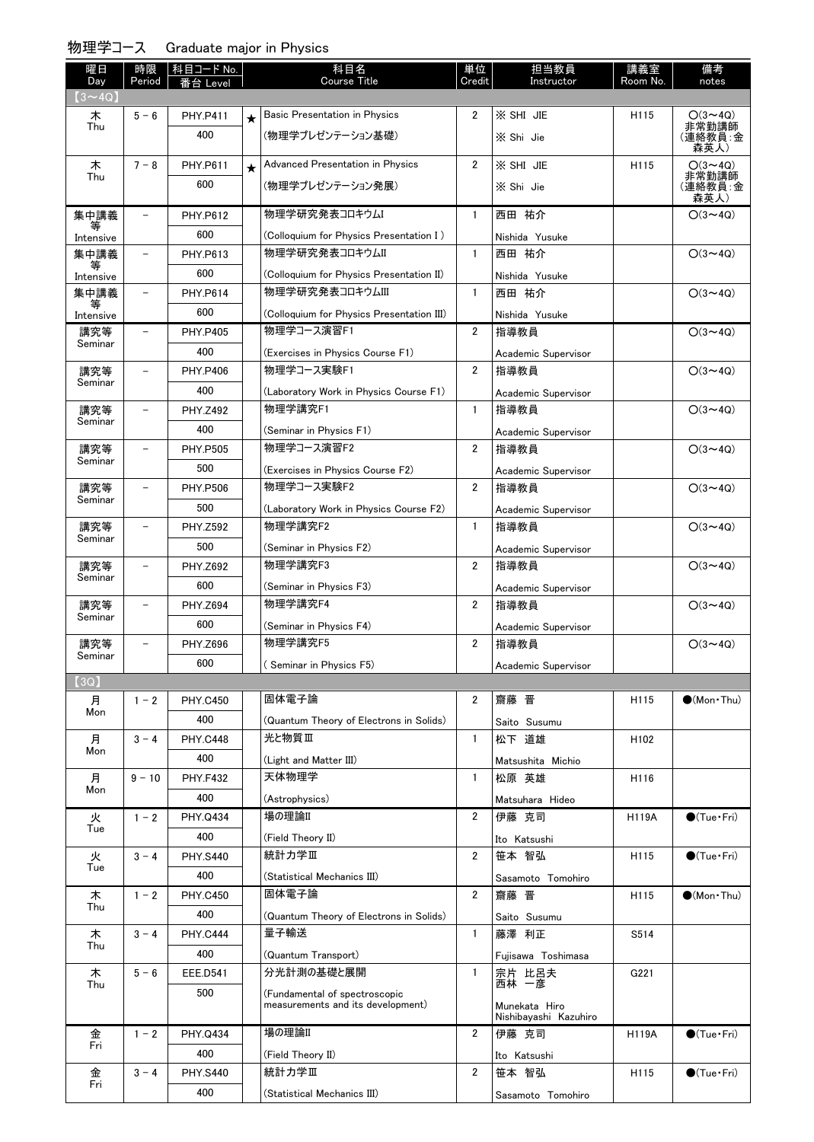| 曜日                   | 時限                       | 科目コード No.       |         | 科目名                                       | 単位             | 担当教員                                   | 講義室      | 備考                      |
|----------------------|--------------------------|-----------------|---------|-------------------------------------------|----------------|----------------------------------------|----------|-------------------------|
| Day<br>$(3 \sim 4Q)$ | Period                   | Level           |         | <b>Course Title</b>                       | Credit         | Instructor                             | Room No. | notes                   |
| 木                    | $5 - 6$                  | <b>PHY.P411</b> | $\star$ | <b>Basic Presentation in Physics</b>      | $\overline{2}$ | X SHI JIE                              | H115     | $O(3 \sim 4Q)$          |
| Thu                  |                          | 400             |         | (物理学プレゼンテーション基礎)                          |                | X Shi Jie                              |          | 非常勤講師<br>(連絡教員:金        |
|                      |                          |                 |         |                                           |                |                                        |          | 森英人)                    |
| 木<br>Thu             | $7 - 8$                  | <b>PHY.P611</b> | $\star$ | <b>Advanced Presentation in Physics</b>   | $\overline{2}$ | X SHI JIE                              | H115     | $O(3 \sim 4Q)$<br>非常勤講師 |
|                      |                          | 600             |         | (物理学プレゼンテーション発展)                          |                | X Shi Jie                              |          | (連絡教員:金<br>森英人)         |
| 集中講義                 | $\overline{\phantom{0}}$ | <b>PHY.P612</b> |         | 物理学研究発表コロキウム                              | $\mathbf{1}$   | 西田 祐介                                  |          | $O(3 \sim 4Q)$          |
| 等<br>Intensive       |                          | 600             |         | (Colloquium for Physics Presentation I)   |                | Nishida Yusuke                         |          |                         |
| 集中講義                 |                          | PHY.P613        |         | 物理学研究発表コロキウムⅡ                             | 1              | 西田 祐介                                  |          | $O(3 \sim 4Q)$          |
| Intensive            |                          | 600             |         | (Colloquium for Physics Presentation II)  |                | Nishida Yusuke                         |          |                         |
| 集中講義                 | $\overline{\phantom{0}}$ | <b>PHY.P614</b> |         | 物理学研究発表コロキウムIII                           | $\mathbf{1}$   | 西田 祐介                                  |          | $O(3 \sim 4Q)$          |
| 等<br>Intensive       |                          | 600             |         | (Colloquium for Physics Presentation III) |                | Nishida Yusuke                         |          |                         |
| 講究等                  | $\overline{\phantom{0}}$ | <b>PHY.P405</b> |         | 物理学コース演習F1                                | $\overline{2}$ | 指導教員                                   |          | $O(3 \sim 4Q)$          |
| Seminar              |                          | 400             |         | (Exercises in Physics Course F1)          |                | Academic Supervisor                    |          |                         |
| 講究等                  |                          | <b>PHY.P406</b> |         | 物理学コース実験F1                                | $\overline{2}$ | 指導教員                                   |          | $O(3 \sim 4Q)$          |
| Seminar              |                          | 400             |         | (Laboratory Work in Physics Course F1)    |                | Academic Supervisor                    |          |                         |
| 講究等                  | $\overline{\phantom{0}}$ | <b>PHY.Z492</b> |         | 物理学講究F1                                   | $\mathbf{1}$   | 指導教員                                   |          | $O(3 \sim 4Q)$          |
| Seminar              |                          | 400             |         | (Seminar in Physics F1)                   |                | Academic Supervisor                    |          |                         |
| 講究等                  |                          | <b>PHY.P505</b> |         | 物理学コース演習F2                                | $\overline{2}$ | 指導教員                                   |          | $O(3 \sim 4Q)$          |
| Seminar              |                          | 500             |         | (Exercises in Physics Course F2)          |                | Academic Supervisor                    |          |                         |
| 講究等                  |                          | <b>PHY.P506</b> |         | 物理学コース実験F2                                | $\overline{2}$ | 指導教員                                   |          | $O(3 \sim 4Q)$          |
| Seminar              |                          | 500             |         | (Laboratory Work in Physics Course F2)    |                | Academic Supervisor                    |          |                         |
| 講究等                  | $\overline{\phantom{0}}$ | <b>PHY.Z592</b> |         | 物理学講究F2                                   | $\mathbf{1}$   | 指導教員                                   |          | $O(3 \sim 4Q)$          |
| Seminar              |                          | 500             |         | (Seminar in Physics F2)                   |                | Academic Supervisor                    |          |                         |
| 講究等                  | $\overline{\phantom{0}}$ | <b>PHY.Z692</b> |         | 物理学講究F3                                   | $\overline{2}$ | 指導教員                                   |          | $O(3 \sim 4Q)$          |
| Seminar              |                          | 600             |         | (Seminar in Physics F3)                   |                | Academic Supervisor                    |          |                         |
| 講究等                  | $\equiv$                 | <b>PHY.Z694</b> |         | 物理学講究F4                                   | $\overline{2}$ | 指導教員                                   |          | $O(3 \sim 4Q)$          |
| Seminar              |                          | 600             |         | (Seminar in Physics F4)                   |                |                                        |          |                         |
| 講究等                  |                          | PHY.Z696        |         | 物理学講究F5                                   | $\overline{2}$ | Academic Supervisor<br>指導教員            |          | $O(3 \sim 4Q)$          |
| Seminar              |                          | 600             |         | (Seminar in Physics F5)                   |                |                                        |          |                         |
| (3Q)                 |                          |                 |         |                                           |                | Academic Supervisor                    |          |                         |
| 月                    | $1 - 2$                  | <b>PHY.C450</b> |         | 固体電子論                                     | 2              | 齋藤 晋                                   | H115     | $\bullet$ (Mon Thu)     |
| Mon                  |                          | 400             |         | (Quantum Theory of Electrons in Solids)   |                | Saito Susumu                           |          |                         |
| 月                    | $3 - 4$                  | <b>PHY.C448</b> |         | 光と物質Ⅲ                                     | $\mathbf{1}$   | 松下 道雄                                  | H102     |                         |
| Mon                  |                          | 400             |         | (Light and Matter III)                    |                | Matsushita Michio                      |          |                         |
| 月                    | $9 - 10$                 | <b>PHY.F432</b> |         | 天体物理学                                     | $\mathbf{1}$   | 松原 英雄                                  | H116     |                         |
| Mon                  |                          | 400             |         | (Astrophysics)                            |                | Matsuhara Hideo                        |          |                         |
| 火                    | $1 - 2$                  | PHY.Q434        |         | 場の理論II                                    | 2              | 伊藤 克司                                  | H119A    | $\bigcirc$ (Tue•Fri)    |
| Tue                  |                          | 400             |         | (Field Theory II)                         |                | Ito Katsushi                           |          |                         |
| 火                    | $3 - 4$                  | <b>PHY.S440</b> |         | 統計力学Ⅲ                                     | $\overline{2}$ | 笹本 智弘                                  | H115     | $\bigcirc$ (Tue · Fri)  |
| Tue                  |                          | 400             |         | (Statistical Mechanics III)               |                | Sasamoto Tomohiro                      |          |                         |
| 木                    | $1 - 2$                  | <b>PHY.C450</b> |         | 固体電子論                                     | $\overline{2}$ | 齋藤 晋                                   | H115     | $\bigcirc$ (Mon Thu)    |
| Thu                  |                          | 400             |         | (Quantum Theory of Electrons in Solids)   |                | Saito Susumu                           |          |                         |
| 木                    | $3 - 4$                  | <b>PHY.C444</b> |         | 量子輸送                                      | $\mathbf{1}$   | 藤澤 利正                                  | S514     |                         |
| Thu                  |                          | 400             |         | (Quantum Transport)                       |                | Fujisawa Toshimasa                     |          |                         |
| 木                    | $5 - 6$                  | <b>EEE.D541</b> |         | 分光計測の基礎と展開                                | 1              | 宗片 比呂夫                                 | G221     |                         |
| Thu                  |                          | 500             |         | (Fundamental of spectroscopic             |                | 西林 一彦                                  |          |                         |
|                      |                          |                 |         | measurements and its development)         |                | Munekata Hiro<br>Nishibayashi Kazuhiro |          |                         |
| 金                    | $1 - 2$                  | PHY.Q434        |         | 場の理論II                                    | $\overline{2}$ | 伊藤 克司                                  | H119A    | $\bigcirc$ (Tue · Fri)  |
| Fri                  |                          | 400             |         | (Field Theory II)                         |                | Ito Katsushi                           |          |                         |
| 金                    | $3 - 4$                  | <b>PHY.S440</b> |         | 統計力学Ⅲ                                     | $\overline{2}$ | 笹本 智弘                                  | H115     | $\bigcirc$ (Tue•Fri)    |
| Fri                  |                          | 400             |         | (Statistical Mechanics III)               |                | Sasamoto Tomohiro                      |          |                         |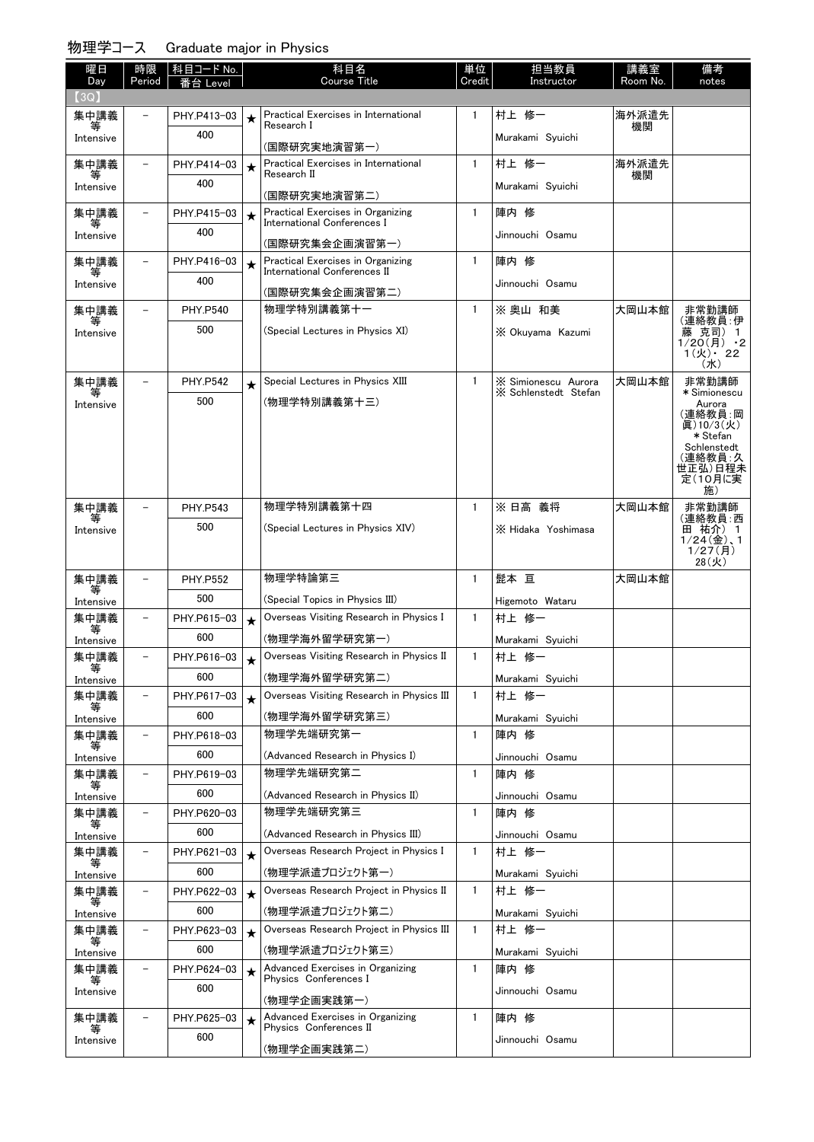| 曜日<br>Day         | 時限<br>Period             | 科目コード No.<br>Level<br>台 |         | 科目名<br>Course Title                                               | 単位<br>Credit | 担当教員<br>Instructor      | 講義室<br>Room No. | 備考<br>notes                                   |
|-------------------|--------------------------|-------------------------|---------|-------------------------------------------------------------------|--------------|-------------------------|-----------------|-----------------------------------------------|
| (3Q)              |                          |                         |         |                                                                   |              |                         |                 |                                               |
| 集中講義              |                          | PHY.P413-03             |         | Practical Exercises in International                              | $\mathbf{1}$ | 村上 修一                   | 海外派遣先           |                                               |
| Intensive         |                          | 400                     |         | Research I<br>(国際研究実地演習第一)                                        |              | Murakami Syuichi        | 機関              |                                               |
| 集中講義              |                          | PHY.P414-03             | $\star$ | Practical Exercises in International                              | $\mathbf{1}$ | 村上 修一                   | 海外派遣先           |                                               |
| Intensive         |                          | 400                     |         | Research II                                                       |              | Murakami Syuichi        | 機関              |                                               |
| 集中講義              |                          | PHY.P415-03             |         | (国際研究実地演習第二)<br>Practical Exercises in Organizing                 | $\mathbf{1}$ | 陣内 修                    |                 |                                               |
|                   |                          | 400                     | $\star$ | International Conferences I                                       |              |                         |                 |                                               |
| Intensive         |                          |                         |         | (国際研究集会企画演習第一)                                                    |              | Jinnouchi Osamu         |                 |                                               |
| 集中講義              |                          | PHY.P416-03             | $\star$ | Practical Exercises in Organizing<br>International Conferences II | $\mathbf{1}$ | 陣内 修                    |                 |                                               |
| Intensive         |                          | 400                     |         | (国際研究集会企画演習第二)                                                    |              | Jinnouchi Osamu         |                 |                                               |
| 集中講義              |                          | <b>PHY.P540</b>         |         | 物理学特別講義第十一                                                        | $\mathbf{1}$ | ※奥山 和美                  | 大岡山本館           | 非常勤講師                                         |
| Intensive         |                          | 500                     |         | (Special Lectures in Physics XI)                                  |              | X Okuvama Kazumi        |                 | (連絡教員: 伊<br>藤 克司) 1                           |
|                   |                          |                         |         |                                                                   |              |                         |                 | $1/20(f)$ ·2<br>$1(y)$ · 22<br>$(\nexists k)$ |
| 集中講義              |                          | <b>PHY.P542</b>         | $\star$ | Special Lectures in Physics XIII                                  | $\mathbf{1}$ | X Simionescu Aurora     | 大岡山本館           | 非常勤講師                                         |
| 等<br>Intensive    |                          | 500                     |         | (物理学特別講義第十三)                                                      |              | X Schlenstedt Stefan    |                 | * Simionescu<br>Aurora                        |
|                   |                          |                         |         |                                                                   |              |                         |                 | (連絡教員:岡<br>眞)10/3(火)                          |
|                   |                          |                         |         |                                                                   |              |                         |                 | * Stefan<br>Schlenstedt                       |
|                   |                          |                         |         |                                                                   |              |                         |                 | (連絡教員:久<br>世正弘)日程未                            |
|                   |                          |                         |         |                                                                   |              |                         |                 | 定(10月に実<br>施)                                 |
| 集中講義              |                          | <b>PHY.P543</b>         |         | 物理学特別講義第十四                                                        | $\mathbf{1}$ | ※ 日高 義将                 | 大岡山本館           | 非常勤講師                                         |
| 等<br>Intensive    |                          | 500                     |         | (Special Lectures in Physics XIV)                                 |              | X Hidaka Yoshimasa      |                 | (連絡教員:西<br>田 祐介) 1                            |
|                   |                          |                         |         |                                                                   |              |                         |                 | $1/24$ $($ 金), 1<br>1/27(f)                   |
|                   |                          |                         |         |                                                                   |              |                         |                 | 28(火)                                         |
| 集中講義              |                          | <b>PHY.P552</b>         |         | 物理学特論第三                                                           | $\mathbf{1}$ | 髭本 亘                    | 大岡山本館           |                                               |
| Intensive         |                          | 500                     |         | (Special Topics in Physics III)                                   |              | Higemoto Wataru         |                 |                                               |
| 集中講義<br>等         |                          | PHY.P615-03             | $\star$ | Overseas Visiting Research in Physics I                           | $\mathbf{1}$ | 村上 修一                   |                 |                                               |
| Intensive         |                          | 600                     |         | (物理学海外留学研究第一)                                                     |              | Murakami Syuichi        |                 |                                               |
| 集中講義<br>寺         | $\overline{\phantom{0}}$ | PHY.P616-03             | $\star$ | Overseas Visiting Research in Physics II                          | $\mathbf{1}$ | 村上 修一                   |                 |                                               |
| Intensive         |                          | 600                     |         | (物理学海外留学研究第二)                                                     |              | Murakami Syuichi        |                 |                                               |
| 集中講義<br>等         |                          | PHY.P617-03             | $\star$ | Overseas Visiting Research in Physics III                         | $\mathbf{1}$ | 村上 修一                   |                 |                                               |
| Intensive         |                          | 600                     |         | (物理学海外留学研究第三)<br>物理学先端研究第一                                        |              | Murakami Syuichi        |                 |                                               |
| 集中講義              | -                        | PHY.P618-03             |         |                                                                   | $\mathbf{1}$ | 陣内 修                    |                 |                                               |
| Intensive<br>集中講義 | $\overline{\phantom{0}}$ | 600                     |         | (Advanced Research in Physics I)<br>物理学先端研究第二                     | $\mathbf{1}$ | Jinnouchi Osamu<br>陣内 修 |                 |                                               |
|                   |                          | PHY.P619-03<br>600      |         |                                                                   |              |                         |                 |                                               |
| Intensive<br>集中講義 | $\qquad \qquad -$        | PHY.P620-03             |         | (Advanced Research in Physics II)<br>物理学先端研究第三                    | $\mathbf{1}$ | Jinnouchi Osamu<br>陣内 修 |                 |                                               |
|                   |                          | 600                     |         | (Advanced Research in Physics III)                                |              | Jinnouchi Osamu         |                 |                                               |
| Intensive<br>集中講義 | $\qquad \qquad -$        | PHY.P621-03             | $\star$ | Overseas Research Project in Physics I                            | $\mathbf{1}$ | 村上 修一                   |                 |                                               |
| 等<br>Intensive    |                          | 600                     |         | (物理学派遣ブロジェクト第一)                                                   |              | Murakami Syuichi        |                 |                                               |
| 集中講義              | $\qquad \qquad -$        | PHY.P622-03             | $\star$ | Overseas Research Project in Physics II                           | 1            | 村上 修一                   |                 |                                               |
| Intensive         |                          | 600                     |         | (物理学派遣ブロジェクト第二)                                                   |              | Murakami Syuichi        |                 |                                               |
| 集中講義              | $\overline{\phantom{0}}$ | PHY.P623-03             | $\star$ | Overseas Research Project in Physics III                          | $\mathbf{1}$ | 村上 修一                   |                 |                                               |
| 等<br>Intensive    |                          | 600                     |         | (物理学派遣プロジェクト第三)                                                   |              | Murakami Syuichi        |                 |                                               |
| 集中講義              |                          | PHY.P624-03             | $\star$ | Advanced Exercises in Organizing                                  | $\mathbf{1}$ | 陣内 修                    |                 |                                               |
| Intensive         |                          | 600                     |         | Physics Conferences I                                             |              | Jinnouchi Osamu         |                 |                                               |
|                   |                          |                         |         | (物理学企画実践第一)                                                       |              |                         |                 |                                               |
| 集中講義              |                          | PHY.P625-03             | $\star$ | Advanced Exercises in Organizing<br>Physics Conferences II        | $\mathbf{1}$ | 陣内 修                    |                 |                                               |
| Intensive         |                          | 600                     |         | (物理学企画実践第二)                                                       |              | Jinnouchi Osamu         |                 |                                               |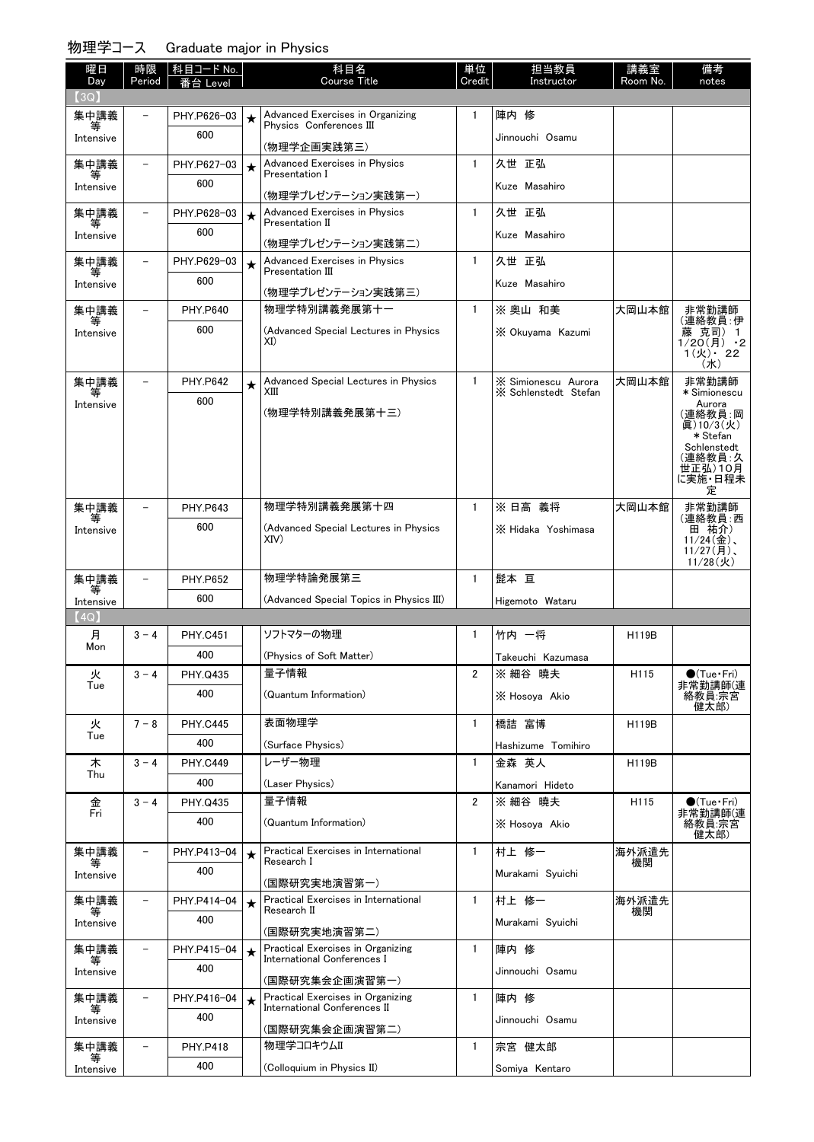| 曜日             | 時限                       | 科目コード No.          |         | 科目名                                                              | 単位                    | 担当教員                                        | 講義室          | 備考                                                                                              |
|----------------|--------------------------|--------------------|---------|------------------------------------------------------------------|-----------------------|---------------------------------------------|--------------|-------------------------------------------------------------------------------------------------|
| Day<br>(3Q)    | Period                   | 台 Level            |         | <b>Course Title</b>                                              | Credit                | Instructor                                  | Room No.     | notes                                                                                           |
| 集中講義           | L.                       | PHY.P626-03        | $\star$ | Advanced Exercises in Organizing                                 | $\mathbf{1}$          | 陣内 修                                        |              |                                                                                                 |
| 等<br>Intensive |                          | 600                |         | Physics Conferences III                                          |                       | Jinnouchi Osamu                             |              |                                                                                                 |
|                |                          |                    |         | (物理学企画実践第三)                                                      |                       |                                             |              |                                                                                                 |
| 集中講義<br>等      | $\overline{\phantom{0}}$ | PHY.P627-03        | $\star$ | <b>Advanced Exercises in Physics</b><br>Presentation I           | $\mathbf{1}$          | 久世 正弘                                       |              |                                                                                                 |
| Intensive      |                          | 600                |         | (物理学プレゼンテーション実践第一)                                               |                       | Kuze Masahiro                               |              |                                                                                                 |
| 集中講義           | $\equiv$                 | PHY.P628-03        | $\star$ | <b>Advanced Exercises in Physics</b>                             | $\mathbf{1}$          | 久世 正弘                                       |              |                                                                                                 |
| 等<br>Intensive |                          | 600                |         | Presentation II                                                  |                       | Kuze Masahiro                               |              |                                                                                                 |
|                |                          |                    |         | (物理学プレゼンテーション実践第二)                                               |                       |                                             |              |                                                                                                 |
| 集中講義<br>等      | $\overline{\phantom{0}}$ | PHY.P629-03        | $\star$ | <b>Advanced Exercises in Physics</b><br>Presentation III         | $\mathbf{1}$          | 久世 正弘                                       |              |                                                                                                 |
| Intensive      |                          | 600                |         | (物理学プレゼンテーション実践第三)                                               |                       | Kuze Masahiro                               |              |                                                                                                 |
| 集中講義           |                          | <b>PHY.P640</b>    |         | 物理学特別講義発展第十一                                                     | $\mathbf{1}$          | ※奥山 和美                                      | 大岡山本館        | 非常勤講師                                                                                           |
| 等<br>Intensive |                          | 600                |         | (Advanced Special Lectures in Physics<br>XI)                     |                       | X Okuyama Kazumi                            |              | (連絡教員: 伊<br>藤 克司) 1<br>1/20(月) ・2<br>$1(y)$ 22<br>(X <sub>k</sub> )                             |
| 集中講義<br>等      | $\qquad \qquad -$        | <b>PHY.P642</b>    | $\star$ | Advanced Special Lectures in Physics<br>XIII                     | $\mathbf{1}$          | X Simionescu Aurora<br>X Schlenstedt Stefan | 大岡山本館        | 非常勤講師<br>* Simionescu                                                                           |
| Intensive      |                          | 600                |         | (物理学特別講義発展第十三)                                                   |                       |                                             |              | Aurora<br>(連絡教員:岡<br>眞)10/3(火)<br>* Stefan<br>Schlenstedt<br>(連絡教員・久<br>世正弘)10月<br>に実施・日程未<br>定 |
| 集中講義           |                          | <b>PHY.P643</b>    |         | 物理学特別講義発展第十四                                                     | $\mathbf{1}$          | ※ 日高 義将                                     | 大岡山本館        | 非常勤講師                                                                                           |
| Intensive      |                          | 600                |         | (Advanced Special Lectures in Physics<br>XIV)                    |                       | X Hidaka Yoshimasa                          |              | (連絡教員:西<br>田 祐介)<br>$11/24$ (金)、<br>$11/27$ (月)、<br>$11/28$ (火)                                 |
| 集中講義           |                          | <b>PHY.P652</b>    |         | 物理学特論発展第三                                                        | $\mathbf{1}$          | 髭本 亘                                        |              |                                                                                                 |
| 等<br>Intensive |                          | 600                |         | (Advanced Special Topics in Physics III)                         |                       | Higemoto Wataru                             |              |                                                                                                 |
| (4Q)           |                          |                    |         |                                                                  |                       |                                             |              |                                                                                                 |
| 月<br>Mon       | $3 - 4$                  | <b>PHY.C451</b>    |         | ソフトマターの物理                                                        | $\mathbf{1}$          | 竹内 一将                                       | H119B        |                                                                                                 |
|                |                          | 400                |         | (Physics of Soft Matter)                                         |                       | Takeuchi Kazumasa                           |              |                                                                                                 |
| 火<br>Tue       | $3 - 4$                  | PHY.Q435           |         | 量子情報                                                             | $\overline{2}$        | ※ 細谷 曉夫                                     | H115         | $\bigcirc$ (Tue · Fri)<br>非常勤講師(連                                                               |
|                |                          | 400                |         | (Quantum Information)                                            |                       | X Hosova Akio                               |              | 絡教員:宗宮<br>健太郎)                                                                                  |
| 火              | $7 - 8$                  | <b>PHY.C445</b>    |         | 表面物理学                                                            | $\mathbf{1}$          | 橋詰 富博                                       | <b>H119B</b> |                                                                                                 |
| Tue            |                          | 400                |         | (Surface Physics)                                                |                       | Hashizume Tomihiro                          |              |                                                                                                 |
| 木              | $3 - 4$                  | <b>PHY.C449</b>    |         | レーザー物理                                                           | $\mathbf{1}$          | 金森 英人                                       | <b>H119B</b> |                                                                                                 |
| Thu            |                          | 400                |         | (Laser Physics)                                                  |                       | Kanamori Hideto                             |              |                                                                                                 |
| 金<br>Fri       | $3 - 4$                  | <b>PHY.Q435</b>    |         | 量子情報                                                             | $\mathbf{2}^{\prime}$ | ※ 細谷 曉夫                                     | H115         | $\bigcirc$ (Tue·Fri)<br>非常勤講師(連                                                                 |
|                |                          | 400                |         | (Quantum Information)                                            |                       | X Hosoya Akio                               |              | 絡教員宗宮<br>健太郎)                                                                                   |
| 集中講義           |                          | PHY.P413-04        | $\star$ | Practical Exercises in International                             | $\mathbf{1}$          | 村上 修一                                       | 海外派遣先        |                                                                                                 |
| Intensive      |                          | 400                |         | Research I                                                       |                       | Murakami Syuichi                            | 機関           |                                                                                                 |
|                | -                        |                    |         | (国際研究実地演習第一)<br>Practical Exercises in International             | $\mathbf{1}$          | 村上 修一                                       | 海外派遣先        |                                                                                                 |
| 集中講義           |                          | PHY.P414-04<br>400 | $\star$ | Research II                                                      |                       |                                             | 機関           |                                                                                                 |
| Intensive      |                          |                    |         | (国際研究実地演習第二)                                                     |                       | Murakami Syuichi                            |              |                                                                                                 |
| 集中講義<br>等      | $\qquad \qquad -$        | PHY.P415-04        | $\star$ | Practical Exercises in Organizing<br>International Conferences I | $\mathbf{1}$          | 陣内 修                                        |              |                                                                                                 |
| Intensive      |                          | 400                |         | (国際研究集会企画演習第一)                                                   |                       | Jinnouchi Osamu                             |              |                                                                                                 |
| 集中講義           | $\qquad \qquad -$        | PHY.P416-04        | $\star$ | Practical Exercises in Organizing                                | $\mathbf{1}$          | 陣内 修                                        |              |                                                                                                 |
| 等<br>Intensive |                          | 400                |         | International Conferences II                                     |                       | Jinnouchi Osamu                             |              |                                                                                                 |
|                |                          |                    |         | (国際研究集会企画演習第二)<br>物理学コロキウムⅡ                                      |                       |                                             |              |                                                                                                 |
| 集中講義<br>等      |                          | <b>PHY.P418</b>    |         |                                                                  | $\mathbf{1}$          | 宗宮 健太郎                                      |              |                                                                                                 |
| Intensive      |                          | 400                |         | (Colloquium in Physics II)                                       |                       | Somiya Kentaro                              |              |                                                                                                 |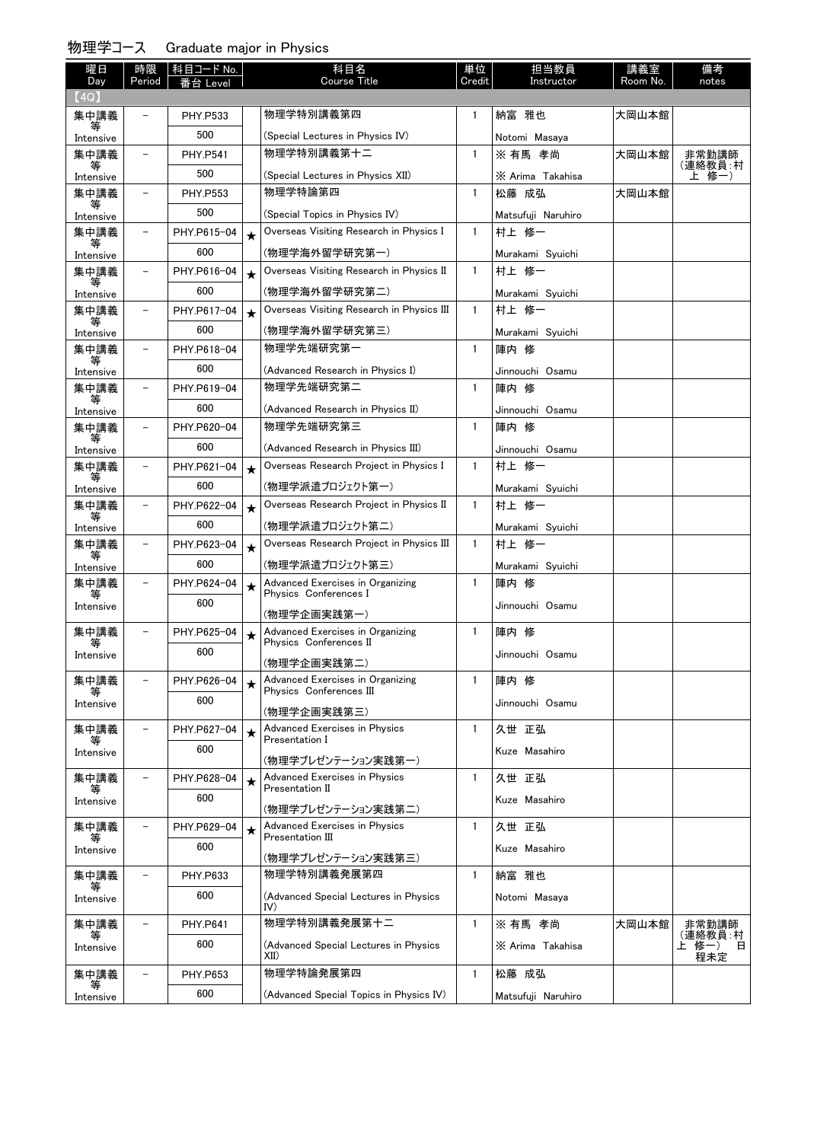| 曜日<br>Day      | 時限<br>Period             | 科目コード No.<br>Level |         | 科目名<br><b>Course Title</b>                                  | 単位<br>Credit | 担当教員<br>Instructor | 講義室<br>Room No. | 備考<br>notes                    |
|----------------|--------------------------|--------------------|---------|-------------------------------------------------------------|--------------|--------------------|-----------------|--------------------------------|
| (4Q)           |                          |                    |         |                                                             |              |                    |                 |                                |
| 集中講義           |                          | PHY.P533           |         | 物理学特別講義第四                                                   | $\mathbf{1}$ | 納富 雅也              | 大岡山本館           |                                |
| 等<br>Intensive |                          | 500                |         | (Special Lectures in Physics IV)                            |              | Notomi Masaya      |                 |                                |
| 集中講義           | $\overline{\phantom{0}}$ | <b>PHY.P541</b>    |         | 物理学特別講義第十二                                                  | $\mathbf{1}$ | ※ 有馬 孝尚            | 大岡山本館           | 非常勤講師                          |
| 等<br>Intensive |                          | 500                |         | (Special Lectures in Physics XII)                           |              | X Arima Takahisa   |                 | (連絡教員:村<br>上 修一)               |
| 集中講義           | $\overline{\phantom{0}}$ | <b>PHY.P553</b>    |         | 物理学特論第四                                                     | $\mathbf{1}$ | 松藤 成弘              | 大岡山本館           |                                |
| 等<br>Intensive |                          | 500                |         | (Special Topics in Physics IV)                              |              | Matsufuji Naruhiro |                 |                                |
| 集中講義           | -                        | PHY.P615-04        | $\star$ | Overseas Visiting Research in Physics I                     | $\mathbf{1}$ | 村上 修一              |                 |                                |
| 等<br>Intensive |                          | 600                |         | (物理学海外留学研究第一)                                               |              | Murakami Svuichi   |                 |                                |
| 集中講義           | $\overline{\phantom{0}}$ | PHY.P616-04        | $\star$ | Overseas Visiting Research in Physics II                    | $\mathbf{1}$ | 村上 修一              |                 |                                |
| ₩<br>Intensive |                          | 600                |         | (物理学海外留学研究第二)                                               |              | Murakami Syuichi   |                 |                                |
| 集中講義           |                          | PHY.P617-04        | $\star$ | Overseas Visiting Research in Physics III                   | 1            | 村上 修一              |                 |                                |
| 等<br>Intensive |                          | 600                |         | (物理学海外留学研究第三)                                               |              | Murakami Syuichi   |                 |                                |
| 集中講義           | $\overline{\phantom{0}}$ | PHY.P618-04        |         | 物理学先端研究第一                                                   | $\mathbf{1}$ | 陣内 修               |                 |                                |
| 等<br>Intensive |                          | 600                |         | (Advanced Research in Physics I)                            |              | Jinnouchi Osamu    |                 |                                |
| 集中講義<br>等      | $\overline{\phantom{0}}$ | PHY.P619-04        |         | 物理学先端研究第二                                                   | $\mathbf{1}$ | 陣内 修               |                 |                                |
| Intensive      |                          | 600                |         | (Advanced Research in Physics II)                           |              | Jinnouchi Osamu    |                 |                                |
| 集中講義           | -                        | PHY.P620-04        |         | 物理学先端研究第三                                                   | 1            | 陣内 修               |                 |                                |
| 等<br>Intensive |                          | 600                |         | (Advanced Research in Physics III)                          |              | Jinnouchi Osamu    |                 |                                |
| 集中講義           | $\overline{\phantom{0}}$ | PHY.P621-04        | $\star$ | Overseas Research Project in Physics I                      | $\mathbf{1}$ | 村上 修一              |                 |                                |
| 等<br>Intensive |                          | 600                |         | (物理学派遣プロジェクト第一)                                             |              | Murakami Syuichi   |                 |                                |
| 集中講義<br>等      |                          | PHY.P622-04        | $\star$ | Overseas Research Project in Physics II                     | $\mathbf{1}$ | 村上 修一              |                 |                                |
| Intensive      |                          | 600                |         | (物理学派遣プロジェクト第二)                                             |              | Murakami Syuichi   |                 |                                |
| 集中講義<br>等      | $\overline{\phantom{0}}$ | PHY.P623-04        | $\star$ | Overseas Research Project in Physics III                    | $\mathbf{1}$ | 村上 修一              |                 |                                |
| Intensive      |                          | 600                |         | (物理学派遣プロジェクト第三)                                             |              | Murakami Syuichi   |                 |                                |
| 集中講義<br>等      | $\overline{\phantom{0}}$ | PHY.P624-04        | $\star$ | Advanced Exercises in Organizing<br>Physics Conferences I   | 1            | 陣内 修               |                 |                                |
| Intensive      |                          | 600                |         | (物理学企画実践第一)                                                 |              | Jinnouchi Osamu    |                 |                                |
| 集中講義           | $\overline{\phantom{0}}$ | PHY.P625-04        | $\star$ | Advanced Exercises in Organizing                            | 1            | 陣内 修               |                 |                                |
| 等<br>Intensive |                          | 600                |         | Physics Conferences II                                      |              | Jinnouchi Osamu    |                 |                                |
|                |                          |                    |         | (物理学企画実践第二)                                                 |              |                    |                 |                                |
| 集中講義           |                          | PHY.P626-04        | ★       | Advanced Exercises in Organizing<br>Physics Conferences III | 1            | 陣内 修               |                 |                                |
| Intensive      |                          | 600                |         | (物理学企画実践第三)                                                 |              | Jinnouchi Osamu    |                 |                                |
| 集中講義           | -                        | PHY.P627-04        | $\star$ | Advanced Exercises in Physics                               | $\mathbf{1}$ | 久世 正弘              |                 |                                |
| 等<br>Intensive |                          | 600                |         | Presentation I                                              |              | Kuze Masahiro      |                 |                                |
|                |                          |                    |         | (物理学プレゼンテーション実践第一)                                          |              |                    |                 |                                |
| 集中講義<br>等      | -                        | PHY.P628-04        | $\star$ | <b>Advanced Exercises in Physics</b><br>Presentation II     | $\mathbf{1}$ | 久世 正弘              |                 |                                |
| Intensive      |                          | 600                |         | (物理学プレゼンテーション実践第二)                                          |              | Kuze Masahiro      |                 |                                |
| 集中講義           | $\overline{\phantom{0}}$ | PHY.P629-04        | $\star$ | <b>Advanced Exercises in Physics</b><br>Presentation III    | $\mathbf{1}$ | 久世 正弘              |                 |                                |
| 等<br>Intensive |                          | 600                |         |                                                             |              | Kuze Masahiro      |                 |                                |
| 集中講義           |                          | PHY.P633           |         | (物理学プレゼンテーション実践第三)<br>物理学特別講義発展第四                           | $\mathbf{1}$ | 納富 雅也              |                 |                                |
| 等              |                          | 600                |         | (Advanced Special Lectures in Physics                       |              |                    |                 |                                |
| Intensive      |                          |                    |         | IV)                                                         |              | Notomi Masaya      |                 |                                |
| 集中講義<br>等      | -                        | <b>PHY.P641</b>    |         | 物理学特別講義発展第十二                                                | 1            | ※ 有馬 孝尚            | 大岡山本館           | 非常勤講師                          |
| Intensive      |                          | 600                |         | (Advanced Special Lectures in Physics<br>XII)               |              | X Arima Takahisa   |                 | (連絡教員 村<br>上 修一) 日<br>Β<br>程未定 |
| 集中講義           | $\overline{\phantom{0}}$ | PHY.P653           |         | 物理学特論発展第四                                                   | $\mathbf{1}$ | 松藤 成弘              |                 |                                |
| 等<br>Intensive |                          | 600                |         | (Advanced Special Topics in Physics IV)                     |              | Matsufuji Naruhiro |                 |                                |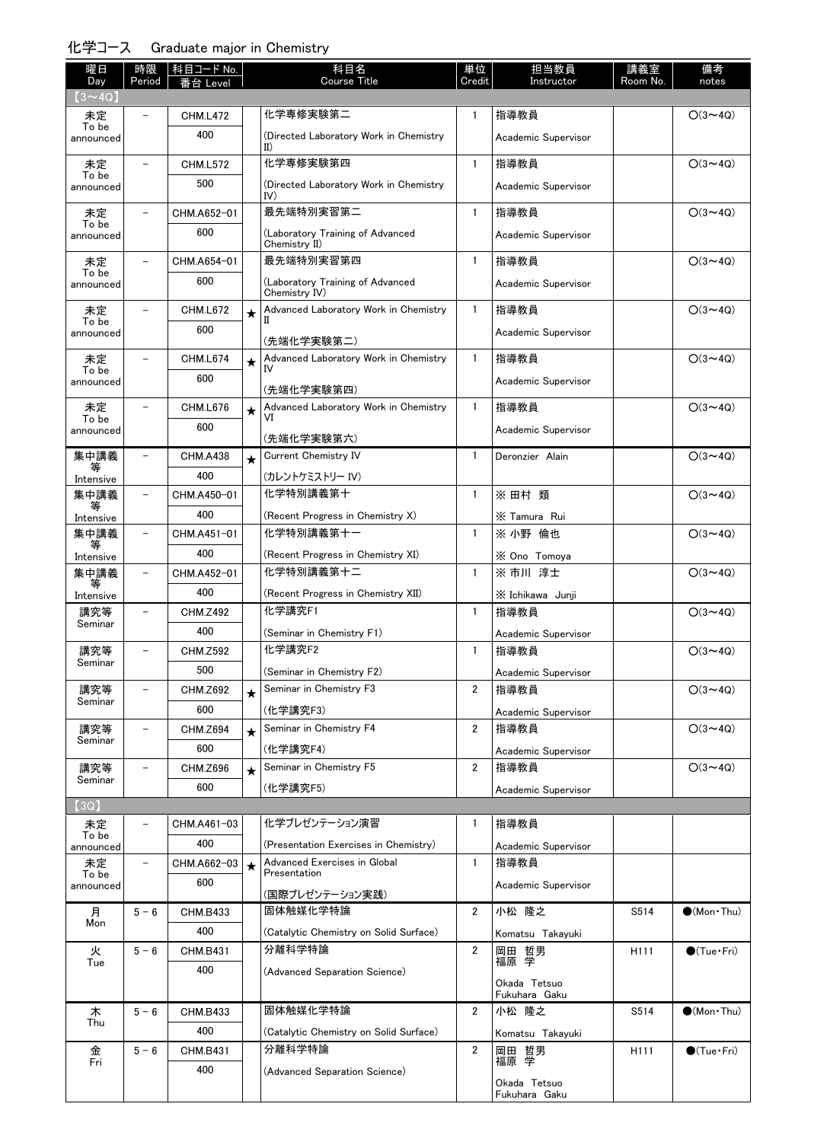## 化学コース Graduate major in Chemistry

| 曜日<br>Day          | 時限<br>Period             | 科目コード No.          |         | 科目名<br><b>Course Title</b>                            | 単位<br>Credit   | 担当教員<br>Instructor       | 講義室<br>Room No.  | 備考<br>notes           |
|--------------------|--------------------------|--------------------|---------|-------------------------------------------------------|----------------|--------------------------|------------------|-----------------------|
| $(3 \sim 4Q)$      |                          | ·台 Level           |         |                                                       |                |                          |                  |                       |
| 未定                 | $\overline{\phantom{0}}$ | <b>CHM.L472</b>    |         | 化学専修実験第二                                              | $\mathbf{1}$   | 指導教員                     |                  | $O(3 \sim 4Q)$        |
| To be<br>announced |                          | 400                |         | (Directed Laboratory Work in Chemistry<br>$_{\rm II}$ |                | Academic Supervisor      |                  |                       |
| 未定                 | $\equiv$                 | <b>CHM.L572</b>    |         | 化学専修実験第四                                              | $\mathbf{1}$   | 指導教員                     |                  | $O(3 \sim 4Q)$        |
| To be<br>announced |                          | 500                |         | (Directed Laboratory Work in Chemistry<br>IV)         |                | Academic Supervisor      |                  |                       |
| 未定                 | $\overline{\phantom{0}}$ | CHM.A652-01        |         | 最先端特別実習第二                                             | $\mathbf{1}$   | 指導教員                     |                  | $O(3 \sim 4Q)$        |
| To be<br>announced |                          | 600                |         | (Laboratory Training of Advanced<br>Chemistry II)     |                | Academic Supervisor      |                  |                       |
| 未定<br>To be        |                          | CHM.A654-01        |         | 最先端特別実習第四                                             | $\mathbf{1}$   | 指導教員                     |                  | $O(3 \sim 4Q)$        |
| announced          |                          | 600                |         | (Laboratory Training of Advanced<br>Chemistry IV)     |                | Academic Supervisor      |                  |                       |
| 未定<br>To be        | $\overline{\phantom{0}}$ | <b>CHM.L672</b>    | $\star$ | Advanced Laboratory Work in Chemistry<br>п            | $\mathbf{1}$   | 指導教員                     |                  | $O(3 \sim 4Q)$        |
| announced          |                          | 600                |         | (先端化学実験第二)                                            |                | Academic Supervisor      |                  |                       |
| 未定                 | $\overline{\phantom{0}}$ | <b>CHM.L674</b>    | $\star$ | Advanced Laboratory Work in Chemistry                 | $\mathbf{1}$   | 指導教員                     |                  | $O(3 \sim 4Q)$        |
| To be<br>announced |                          | 600                |         | IV                                                    |                | Academic Supervisor      |                  |                       |
| 未定                 | $\overline{\phantom{0}}$ | CHM.L676           | $\star$ | (先端化学実験第四)<br>Advanced Laboratory Work in Chemistry   | $\mathbf{1}$   | 指導教員                     |                  | $O(3 \sim 4Q)$        |
| To be<br>announced |                          | 600                |         | VI                                                    |                | Academic Supervisor      |                  |                       |
|                    |                          |                    |         | (先端化学実験第六)                                            |                |                          |                  |                       |
| 集中講義<br>等          | $\overline{\phantom{0}}$ | <b>CHM.A438</b>    | $\star$ | <b>Current Chemistry IV</b>                           | $\mathbf{1}$   | Deronzier Alain          |                  | $O(3 \sim 4Q)$        |
| Intensive          |                          | 400                |         | (カレントケミストリー IV)                                       |                |                          |                  |                       |
| 集中講義<br>等          | $\overline{\phantom{a}}$ | CHM.A450-01        |         | 化学特別講義第十                                              | $\mathbf{1}$   | ※ 田村 類                   |                  | $O(3 \sim 4Q)$        |
| Intensive          | -                        | 400<br>CHM.A451-01 |         | (Recent Progress in Chemistry X)<br>化学特別講義第十一         | $\mathbf{1}$   | X Tamura Rui<br>※ 小野 倫也  |                  | $O(3 \sim 4Q)$        |
| 集中講義<br>等          |                          | 400                |         |                                                       |                |                          |                  |                       |
| Intensive<br>集中講義  | -                        | CHM.A452-01        |         | (Recent Progress in Chemistry XI)<br>化学特別講義第十二        | $\mathbf{1}$   | X Ono Tomoya<br>※ 市川 淳士  |                  | $O(3 \sim 4Q)$        |
|                    |                          | 400                |         | (Recent Progress in Chemistry XII)                    |                |                          |                  |                       |
| Intensive<br>講究等   | $\overline{\phantom{0}}$ | <b>CHM.Z492</b>    |         | 化学講究F1                                                | $\mathbf{1}$   | X Ichikawa Junji<br>指導教員 |                  | $O(3 \sim 4Q)$        |
| Seminar            |                          | 400                |         | (Seminar in Chemistry F1)                             |                | Academic Supervisor      |                  |                       |
| 講究等                | $\overline{\phantom{0}}$ | <b>CHM.Z592</b>    |         | 化学講究F2                                                | $\mathbf{1}$   | 指導教員                     |                  | $O(3 \sim 4Q)$        |
| Seminar            |                          | 500                |         | (Seminar in Chemistry F2)                             |                | Academic Supervisor      |                  |                       |
| 講究等                |                          | CHM.Z692           | $\star$ | Seminar in Chemistry F3                               | $\overline{2}$ | 指導教員                     |                  | $O(3 \sim 4Q)$        |
| Seminar            |                          | 600                |         | (化学講究F3)                                              |                | Academic Supervisor      |                  |                       |
| 講究等                | $\overline{\phantom{0}}$ | <b>CHM.Z694</b>    | $\star$ | Seminar in Chemistry F4                               | $\overline{2}$ | 指導教員                     |                  | $O(3 \sim 4Q)$        |
| Seminar            |                          | 600                |         | (化学講究F4)                                              |                | Academic Supervisor      |                  |                       |
| 講究等                |                          | CHM.Z696           | $\star$ | Seminar in Chemistry F5                               | $\overline{2}$ | 指導教員                     |                  | $O(3 \sim 4Q)$        |
| Seminar            |                          | 600                |         | (化学講究F5)                                              |                | Academic Supervisor      |                  |                       |
| (3Q)               |                          |                    |         |                                                       |                |                          |                  |                       |
| 未定<br>To be        |                          | CHM.A461-03        |         | 化学プレゼンテーション演習                                         | 1              | 指導教員                     |                  |                       |
| announced          |                          | 400                |         | (Presentation Exercises in Chemistry)                 |                | Academic Supervisor      |                  |                       |
| 未定<br>To be        | $\overline{\phantom{0}}$ | CHM.A662-03        | $\star$ | Advanced Exercises in Global<br>Presentation          | $\mathbf{1}$   | 指導教員                     |                  |                       |
| announced          |                          | 600                |         | (国際プレゼンテーション実践)                                       |                | Academic Supervisor      |                  |                       |
| 月                  | $5 - 6$                  | <b>CHM.B433</b>    |         | 固体触媒化学特論                                              | $\overline{2}$ | 小松 隆之                    | S514             | $\bullet$ (Mon Thu)   |
| Mon                |                          | 400                |         | (Catalytic Chemistry on Solid Surface)                |                | Komatsu Takayuki         |                  |                       |
| 火<br>Tue           | $5 - 6$                  | <b>CHM.B431</b>    |         | 分離科学特論                                                | $\overline{2}$ | 岡田 哲男<br>福原 学<br>福原      | H <sub>111</sub> | $\bigcirc$ (Tue·Fri)  |
|                    |                          | 400                |         | (Advanced Separation Science)                         |                | Okada Tetsuo             |                  |                       |
|                    |                          |                    |         |                                                       |                | Fukuhara Gaku            |                  |                       |
| 木<br>Thu           | $5 - 6$                  | <b>CHM.B433</b>    |         | 固体触媒化学特論                                              | $\mathbf{2}$   | 小松 隆之                    | S514             | $\bullet$ (Mon Thu)   |
|                    |                          | 400                |         | (Catalytic Chemistry on Solid Surface)                |                | Komatsu Takayuki         |                  |                       |
| 金<br>Fri           | $5 - 6$                  | <b>CHM.B431</b>    |         | 分離科学特論                                                | $\overline{2}$ | 岡田 哲男<br>福原 学            | H <sub>111</sub> | $\bullet$ (Tue · Fri) |
|                    |                          | 400                |         | (Advanced Separation Science)                         |                | Okada Tetsuo             |                  |                       |
|                    |                          |                    |         |                                                       |                | Fukuhara Gaku            |                  |                       |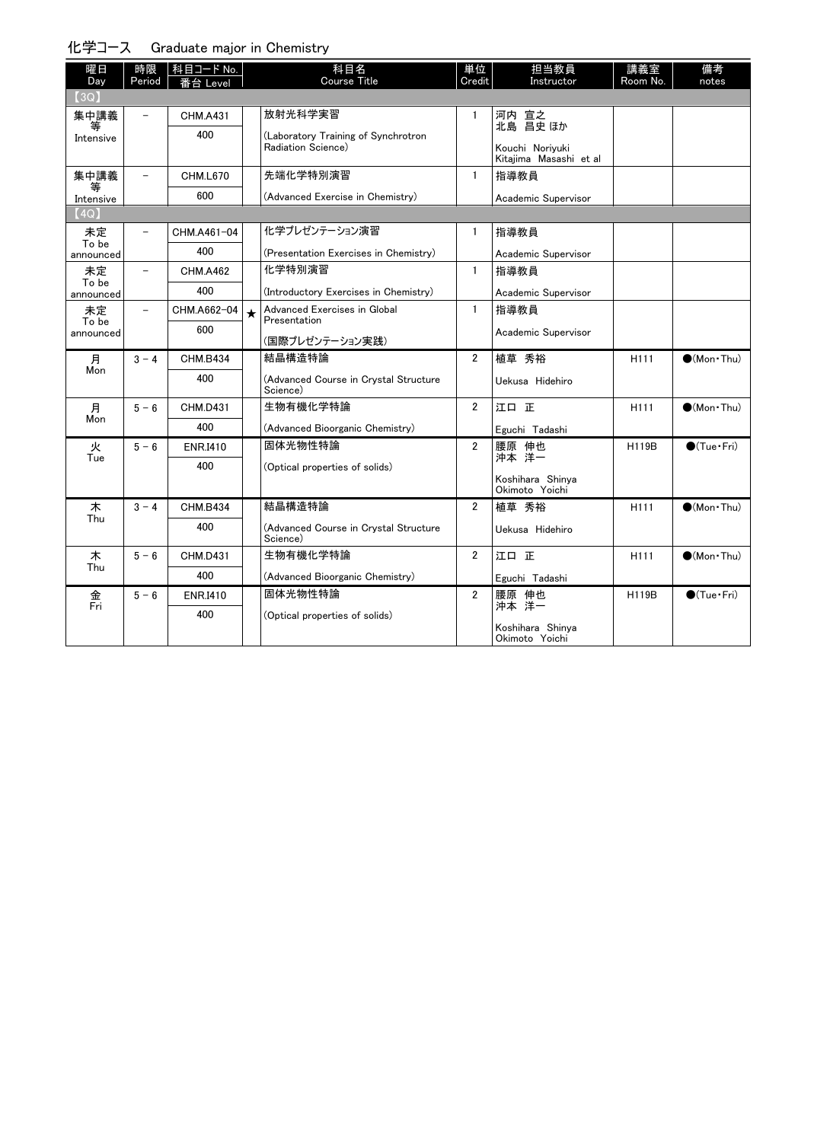#### 化学コース Graduate major in Chemistry

| 曜日<br>Day          | 時限<br>Period             | │科目コード No.<br>番台 Level |         | 科目名<br><b>Course Title</b>                        | 単位<br>Credit   | 担当教員<br>Instructor                        | 講義室<br>Room No.  | 備考<br>notes          |
|--------------------|--------------------------|------------------------|---------|---------------------------------------------------|----------------|-------------------------------------------|------------------|----------------------|
| [3Q]               |                          |                        |         |                                                   |                |                                           |                  |                      |
| 集中講義               |                          | <b>CHM.A431</b>        |         | 放射光科学実習                                           | $\mathbf{1}$   | 河内 宣之<br>北島 昌史 ほか                         |                  |                      |
| 等<br>Intensive     |                          | 400                    |         | (Laboratory Training of Synchrotron               |                |                                           |                  |                      |
|                    |                          |                        |         | Radiation Science)                                |                | Kouchi Noriyuki<br>Kitajima Masashi et al |                  |                      |
| 集中講義               | $\overline{\phantom{0}}$ | <b>CHM.L670</b>        |         | 先端化学特別演習                                          | $\mathbf{1}$   | 指導教員                                      |                  |                      |
| 等<br>Intensive     |                          | 600                    |         | (Advanced Exercise in Chemistry)                  |                | Academic Supervisor                       |                  |                      |
| (4Q)               |                          |                        |         |                                                   |                |                                           |                  |                      |
| 未定<br>To be        |                          | CHM.A461-04            |         | 化学プレゼンテーション演習                                     | 1              | 指導教員                                      |                  |                      |
| announced          |                          | 400                    |         | (Presentation Exercises in Chemistry)             |                | Academic Supervisor                       |                  |                      |
| 未定                 | $\overline{\phantom{0}}$ | <b>CHM.A462</b>        |         | 化学特别演習                                            | $\mathbf{1}$   | 指導教員                                      |                  |                      |
| To be<br>announced |                          | 400                    |         | (Introductory Exercises in Chemistry)             |                | Academic Supervisor                       |                  |                      |
| 未定                 | $\overline{\phantom{0}}$ | CHM.A662-04            | $\star$ | Advanced Exercises in Global                      | $\mathbf{1}$   | 指導教員                                      |                  |                      |
| To be<br>announced |                          | 600                    |         | Presentation                                      |                | Academic Supervisor                       |                  |                      |
|                    |                          |                        |         | (国際プレゼンテーション実践)                                   |                |                                           |                  |                      |
| 月<br>Mon           | $3 - 4$                  | <b>CHM.B434</b>        |         | 結晶構造特論                                            | $\overline{2}$ | 植草 秀裕                                     | H <sub>111</sub> | $(Mon\cdot Thu)$     |
|                    |                          | 400                    |         | (Advanced Course in Crvstal Structure<br>Science) |                | Uekusa Hidehiro                           |                  |                      |
| 月                  | $5 - 6$                  | <b>CHM.D431</b>        |         | 生物有機化学特論                                          | $\overline{2}$ | 江口正                                       | H111             | $(Mon\cdot Thu)$     |
| Mon                |                          | 400                    |         | (Advanced Bioorganic Chemistry)                   |                | Eguchi Tadashi                            |                  |                      |
| 火                  | $5 - 6$                  | <b>ENR.I410</b>        |         | 固体光物性特論                                           | $\overline{2}$ | 腰原 伸也<br>沖本 洋一                            | H119B            | $\bigcirc$ (Tue·Fri) |
| Tue                |                          | 400                    |         | (Optical properties of solids)                    |                |                                           |                  |                      |
|                    |                          |                        |         |                                                   |                | Koshihara Shinya<br>Okimoto Yoichi        |                  |                      |
| 木                  | $3 - 4$                  | <b>CHM.B434</b>        |         | 結晶構造特論                                            | $\overline{2}$ | 植草 秀裕                                     | H <sub>111</sub> | $(Mon\cdot Thu)$     |
| Thu                |                          | 400                    |         | (Advanced Course in Crystal Structure<br>Science) |                | Uekusa Hidehiro                           |                  |                      |
| 木                  | $5 - 6$                  | <b>CHM.D431</b>        |         | 生物有機化学特論                                          | $\overline{2}$ | 江口正                                       | H111             | $(Mon\cdot Thu)$     |
| Thu                |                          | 400                    |         | (Advanced Bioorganic Chemistry)                   |                | Eguchi Tadashi                            |                  |                      |
| 金<br>Fri           | $5 - 6$                  | <b>ENR.I410</b>        |         | 固体光物性特論                                           | $\overline{2}$ | 腰原 伸也<br>沖本 洋一                            | <b>H119B</b>     | $\bigcirc$ (Tue·Fri) |
|                    |                          | 400                    |         | (Optical properties of solids)                    |                |                                           |                  |                      |
|                    |                          |                        |         |                                                   |                | Koshihara Shinya<br>Okimoto Yoichi        |                  |                      |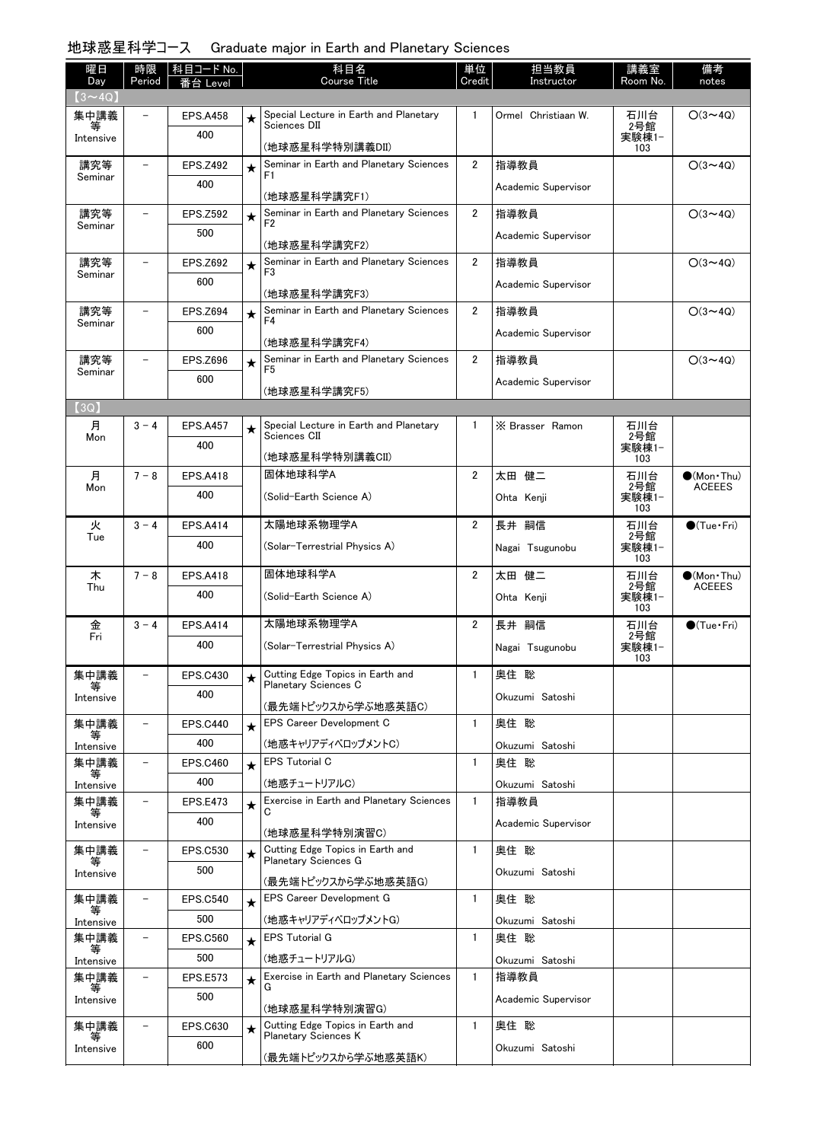# 地球惑星科学コース Graduate major in Earth and Planetary Sciences

| 曜日                   | 時限                       | 科目コード No.       |            | 科目名                                                       | 単位             | 担当教員                | 講義室                 | 備考                                    |
|----------------------|--------------------------|-----------------|------------|-----------------------------------------------------------|----------------|---------------------|---------------------|---------------------------------------|
| Day<br>$(3 \sim 4Q)$ | Period                   | s台 Level        |            | <b>Course Title</b>                                       | Credit         | Instructor          | Room No.            | notes                                 |
| 集中講義                 |                          | <b>EPS.A458</b> | ★          | Special Lecture in Earth and Planetary                    | $\mathbf{1}$   | Ormel Christiaan W. | 石川台                 | $O(3 \sim 4Q)$                        |
| Intensive            |                          | 400             |            | Sciences DII                                              |                |                     | $2$ 号館<br>実験棟1-     |                                       |
|                      |                          |                 |            | (地球惑星科学特別講義DII)                                           |                |                     | 103                 |                                       |
| 講究等<br>Seminar       |                          | <b>EPS.Z492</b> | $\bigstar$ | Seminar in Earth and Planetary Sciences<br>F <sub>1</sub> | $\overline{2}$ | 指導教員                |                     | $O(3 \sim 4Q)$                        |
|                      |                          | 400             |            | (地球惑星科学講究F1)                                              |                | Academic Supervisor |                     |                                       |
| 講究等                  |                          | <b>EPS.Z592</b> | $\bigstar$ | Seminar in Earth and Planetary Sciences                   | $\overline{2}$ | 指導教員                |                     | $O(3 \sim 4Q)$                        |
| Seminar              |                          | 500             |            | F <sub>2</sub>                                            |                | Academic Supervisor |                     |                                       |
| 講究等                  |                          | <b>EPS.Z692</b> |            | (地球惑星科学講究F2)<br>Seminar in Earth and Planetary Sciences   | $\overline{2}$ | 指導教員                |                     | $O(3 \sim 4Q)$                        |
| Seminar              |                          | 600             | $\star$    | F <sub>3</sub>                                            |                | Academic Supervisor |                     |                                       |
|                      |                          |                 |            | (地球惑星科学講究F3)                                              |                |                     |                     |                                       |
| 講究等<br>Seminar       |                          | <b>EPS.Z694</b> | $\star$    | Seminar in Earth and Planetary Sciences<br>F <sub>4</sub> | $\overline{2}$ | 指導教員                |                     | $O(3 \sim 4Q)$                        |
|                      |                          | 600             |            | (地球惑星科学講究F4)                                              |                | Academic Supervisor |                     |                                       |
| 講究等                  |                          | <b>EPS.Z696</b> | $\bigstar$ | Seminar in Earth and Planetary Sciences                   | $\overline{2}$ | 指導教員                |                     | $O(3 \sim 4Q)$                        |
| Seminar              |                          | 600             |            | F <sub>5</sub>                                            |                | Academic Supervisor |                     |                                       |
|                      |                          |                 |            | (地球惑星科学講究F5)                                              |                |                     |                     |                                       |
| (3Q)<br>月            | $3 - 4$                  | <b>EPS.A457</b> |            | Special Lecture in Earth and Planetary                    | -1             | X Brasser Ramon     | 石川台                 |                                       |
| Mon                  |                          | 400             | ★          | Sciences CII                                              |                |                     | 2号館<br>実験棟1-        |                                       |
|                      |                          |                 |            | (地球惑星科学特別講義CII)                                           |                |                     | 103                 |                                       |
| 月<br>Mon             | $7 - 8$                  | <b>EPS.A418</b> |            | 固体地球科学A                                                   | $\overline{2}$ | 太田 健二               | 石川台<br>2号館          | $\bigcirc$ (Mon Thu)<br><b>ACEEES</b> |
|                      |                          | 400             |            | (Solid-Earth Science A)                                   |                | Ohta Kenji          | 実験棟1-<br>103        |                                       |
| 火                    | $3 - 4$                  | <b>EPS.A414</b> |            | 太陽地球系物理学A                                                 | $\overline{2}$ | 長井 嗣信               | 石川台                 | $\bigcirc$ (Tue · Fri)                |
| Tue                  |                          | 400             |            | (Solar-Terrestrial Physics A)                             |                | Nagai Tsugunobu     | 2号館<br>実験棟1-<br>103 |                                       |
| 木                    | $7 - 8$                  | <b>EPS.A418</b> |            | 固体地球科学A                                                   | $\overline{2}$ | 太田 健二               | 石川台                 | $\bullet$ (Mon Thu)                   |
| Thu                  |                          | 400             |            | (Solid-Earth Science A)                                   |                | Ohta Kenji          | 2号館<br>実験棟1-        | <b>ACEEES</b>                         |
|                      |                          |                 |            |                                                           |                |                     | 103                 |                                       |
| 金<br>Fri             | $3 - 4$                  | <b>EPS.A414</b> |            | 太陽地球系物理学A                                                 | $\overline{2}$ | 嗣信<br>長井            | 石川台<br>2号館          | $\bullet$ (Tue•Fri)                   |
|                      |                          | 400             |            | (Solar-Terrestrial Physics A)                             |                | Nagai Tsugunobu     | 実験棟1-<br>103        |                                       |
| 集中講義                 |                          | <b>EPS.C430</b> | ★          | Cutting Edge Topics in Earth and<br>Planetary Sciences C  | $\mathbf{1}$   | 奥住 聡                |                     |                                       |
| Intensive            |                          | 400             |            | (最先端トピックスから学ぶ地惑英語C)                                       |                | Okuzumi Satoshi     |                     |                                       |
| 集中講義                 | $\overline{\phantom{0}}$ | <b>EPS.C440</b> | $\star$    | <b>EPS Career Development C</b>                           | $\mathbf{1}$   | 奥住 聡                |                     |                                       |
| 等<br>Intensive       |                          | 400             |            | (地惑キャリアディベロップメントC)                                        |                | Okuzumi Satoshi     |                     |                                       |
| 集中講義                 | $\overline{\phantom{0}}$ | <b>EPS.C460</b> | $\star$    | <b>EPS Tutorial C</b>                                     | $\mathbf{1}$   | 奥住 聡                |                     |                                       |
| 等<br>Intensive       |                          | 400             |            | (地惑チュートリアルC)                                              |                | Okuzumi Satoshi     |                     |                                       |
| 集中講義                 | $\overline{\phantom{0}}$ | <b>EPS.E473</b> | $\star$    | Exercise in Earth and Planetary Sciences                  | $\mathbf{1}$   | 指導教員                |                     |                                       |
| Intensive            |                          | 400             |            | (地球惑星科学特別演習C)                                             |                | Academic Supervisor |                     |                                       |
| 集中講義                 |                          | <b>EPS.C530</b> | $\bigstar$ | Cutting Edge Topics in Earth and                          | $\mathbf{1}$   | 奧住 聡                |                     |                                       |
| Intensive            |                          | 500             |            | Planetary Sciences G<br>(最先端トピックスから学ぶ地惑英語G)               |                | Okuzumi Satoshi     |                     |                                       |
| 集中講義                 | -                        | <b>EPS.C540</b> | $\star$    | <b>EPS Career Development G</b>                           | 1              | 奧住 聡                |                     |                                       |
| Intensive            |                          | 500             |            | (地惑キャリアディベロップメントG)                                        |                | Okuzumi Satoshi     |                     |                                       |
| 集中講義                 | $\overline{\phantom{0}}$ | <b>EPS.C560</b> | $\star$    | <b>EPS Tutorial G</b>                                     | $\mathbf{1}$   | 奥住 聡                |                     |                                       |
| 等<br>Intensive       |                          | 500             |            | (地惑チュートリアルG)                                              |                | Okuzumi Satoshi     |                     |                                       |
| 集中講義                 |                          | <b>EPS.E573</b> | $\star$    | Exercise in Earth and Planetary Sciences                  | $\mathbf{1}$   | 指導教員                |                     |                                       |
| Intensive            |                          | 500             |            |                                                           |                | Academic Supervisor |                     |                                       |
| 集中講義                 |                          | <b>EPS.C630</b> |            | (地球惑星科学特別演習G)<br>Cutting Edge Topics in Earth and         | $\mathbf{1}$   | 奥住 聡                |                     |                                       |
|                      |                          | 600             | $\star$    | Planetary Sciences K                                      |                |                     |                     |                                       |
| Intensive            |                          |                 |            | (最先端トピックスから学ぶ地惑英語K)                                       |                | Okuzumi Satoshi     |                     |                                       |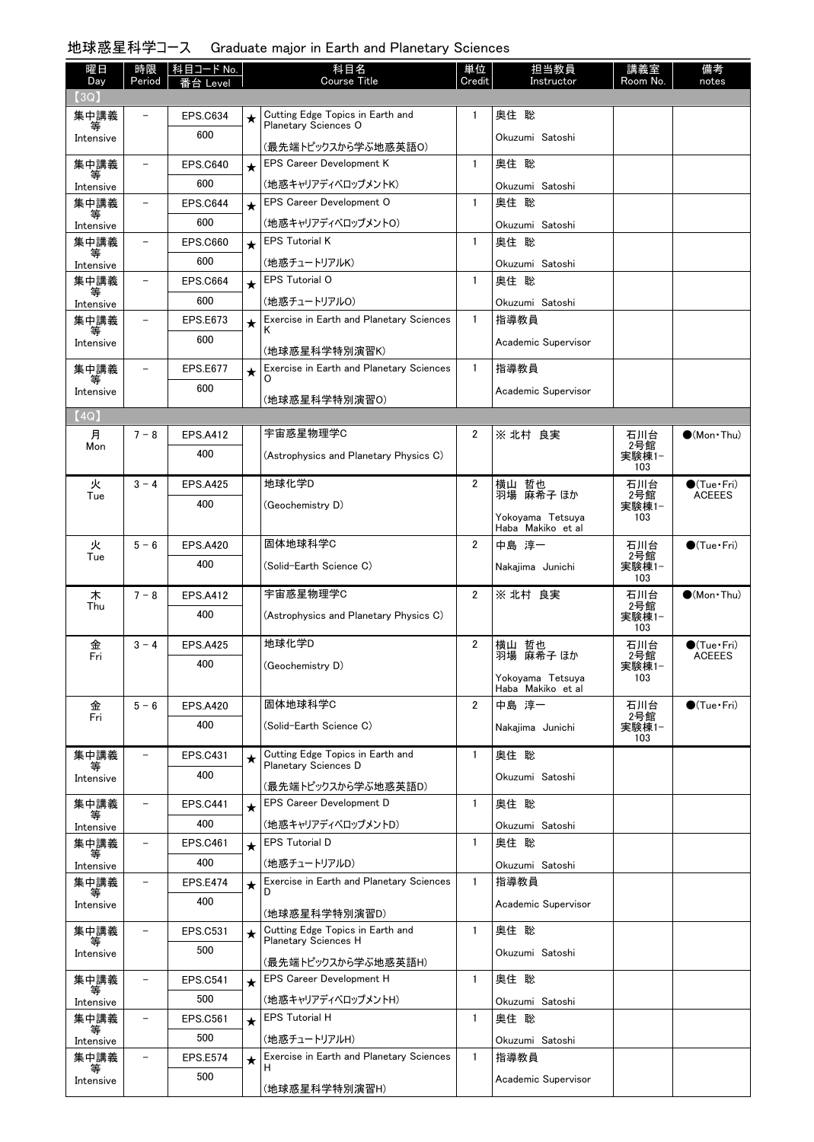# 地球惑星科学コース Graduate major in Earth and Planetary Sciences

| 曜日                | 時限                       | 科目コード No.       |         | 科目名                                                      | 単位             | 担当教員                       | 講義室          | 備考                     |
|-------------------|--------------------------|-----------------|---------|----------------------------------------------------------|----------------|----------------------------|--------------|------------------------|
| Day<br>(3Q)       | Period                   | Level           |         | Course Title                                             | Credit         | Instructor                 | Room No.     | notes                  |
| 集中講義              |                          | <b>EPS.C634</b> | $\star$ | Cutting Edge Topics in Earth and                         | 1              | 奥住 聡                       |              |                        |
| 等                 |                          | 600             |         | Planetary Sciences O                                     |                | Okuzumi Satoshi            |              |                        |
| Intensive         |                          |                 |         | (最先端トピックスから学ぶ地惑英語0)                                      |                |                            |              |                        |
| 集中講義<br>等         | ۳                        | <b>EPS.C640</b> | $\star$ | <b>EPS Career Development K</b>                          | $\mathbf{1}$   | 奥住 聡                       |              |                        |
| Intensive         |                          | 600             |         | (地惑キャリアディベロップメントK)                                       |                | Okuzumi Satoshi            |              |                        |
| 集中講義<br>等         | $\overline{\phantom{0}}$ | EPS.C644        | $\star$ | EPS Career Development O                                 | $\mathbf{1}$   | 奥住 聡                       |              |                        |
| Intensive         |                          | 600             |         | (地惑キャリアディベロップメントO)                                       |                | Okuzumi Satoshi            |              |                        |
| 集中講義<br>等         | $\overline{\phantom{0}}$ | <b>EPS.C660</b> | $\star$ | <b>EPS Tutorial K</b>                                    | $\mathbf{1}$   | 奥住 聡                       |              |                        |
| Intensive         |                          | 600             |         | (地惑チュートリアルK)                                             |                | Okuzumi Satoshi            |              |                        |
| 集中講義<br>等         | $\overline{\phantom{0}}$ | <b>EPS.C664</b> | $\star$ | <b>EPS Tutorial O</b>                                    | $\mathbf{1}$   | 奥住 聡                       |              |                        |
| Intensive         |                          | 600             |         | (地惑チュートリアルO)                                             |                | Okuzumi Satoshi            |              |                        |
| 集中講義              |                          | <b>EPS.E673</b> | $\star$ | Exercise in Earth and Planetary Sciences                 | $\mathbf{1}$   | 指導教員                       |              |                        |
| Intensive         |                          | 600             |         | (地球惑星科学特別演習K)                                            |                | Academic Supervisor        |              |                        |
| 集中講義              |                          | <b>EPS.E677</b> | $\star$ | Exercise in Earth and Planetary Sciences                 | $\mathbf{1}$   | 指導教員                       |              |                        |
|                   |                          | 600             |         |                                                          |                | Academic Supervisor        |              |                        |
| Intensive         |                          |                 |         | (地球惑星科学特別演習O)                                            |                |                            |              |                        |
| (4Q)              |                          |                 |         |                                                          |                |                            |              |                        |
| 月<br>Mon          | $7 - 8$                  | <b>EPS.A412</b> |         | 宇宙惑星物理学C                                                 | 2              | ※ 北村 良実                    | 石川台<br>2号館   | $\bullet$ (Mon Thu)    |
|                   |                          | 400             |         | (Astrophysics and Planetary Physics C)                   |                |                            | 実験棟1-<br>103 |                        |
| 火                 | $3 - 4$                  | <b>EPS.A425</b> |         | 地球化学D                                                    | 2              |                            | 石川台          | $\bullet$ (Tue•Fri)    |
| Tue               |                          | 400             |         | (Geochemistry D)                                         |                | 横山 哲也<br>羽場 麻希子 ほか         | 2号館<br>実験棟1- | <b>ACEEES</b>          |
|                   |                          |                 |         |                                                          |                | Yokoyama Tetsuya           | 103          |                        |
| 火                 | $5 - 6$                  | <b>EPS.A420</b> |         | 固体地球科学C                                                  | $\overline{2}$ | Haba Makiko et al<br>中島 淳一 | 石川台          | $\bigcirc$ (Tue · Fri) |
| Tue               |                          | 400             |         | (Solid-Earth Science C)                                  |                |                            | 2号館          |                        |
|                   |                          |                 |         |                                                          |                | Nakajima Junichi           | 実験棟1-<br>103 |                        |
| 木                 | $7 - 8$                  | <b>EPS.A412</b> |         | 宇宙惑星物理学C                                                 | $\overline{2}$ | ※ 北村 良実                    | 石川台<br>2号館   | $\bigcirc$ (Mon Thu)   |
| Thu               |                          | 400             |         | (Astrophysics and Planetary Physics C)                   |                |                            | 実験棟1-        |                        |
|                   | $3 - 4$                  | <b>EPS.A425</b> |         | 地球化学D                                                    | $\overline{2}$ | 横山 哲也                      | 103          | $\bullet$ (Tue•Fri)    |
| 金<br>Fri          |                          | 400             |         |                                                          |                | 羽場 麻希子 ほか                  | 石川台<br>2号館   | <b>ACEEES</b>          |
|                   |                          |                 |         | (Geochemistry D)                                         |                | Yokoyama Tetsuya           | 実験棟1-<br>103 |                        |
|                   |                          |                 |         | 固体地球科学C                                                  |                | Haba Makiko et al          |              |                        |
| 金<br>Fri          | $5 - 6$                  | <b>EPS.A420</b> |         |                                                          | $\overline{2}$ | 中島 淳一                      | 石川台<br>2号館   | $\bigcirc$ (Tue•Fri)   |
|                   |                          | 400             |         | (Solid-Earth Science C)                                  |                | Nakajima Junichi           | 実験棟1-<br>103 |                        |
| 集中講義              | $\overline{\phantom{0}}$ | <b>EPS.C431</b> | $\star$ | Cutting Edge Topics in Earth and                         | $\mathbf{1}$   | 奥住 聡                       |              |                        |
| 等<br>Intensive    |                          | 400             |         | Planetary Sciences D                                     |                | Okuzumi Satoshi            |              |                        |
|                   |                          |                 |         | (最先端トピックスから学ぶ地惑英語D)                                      |                |                            |              |                        |
| 集中講義<br>等         | $\overline{\phantom{0}}$ | <b>EPS.C441</b> | $\star$ | <b>EPS Career Development D</b>                          | $\mathbf{1}$   | 奥住 聡                       |              |                        |
| Intensive         |                          | 400             |         | (地惑キャリアディベロップメントD)                                       |                | Okuzumi Satoshi            |              |                        |
| 集中講義<br>等         | $\overline{\phantom{0}}$ | <b>EPS.C461</b> | $\star$ | <b>EPS Tutorial D</b>                                    | $\mathbf{1}$   | 奥住 聡                       |              |                        |
| Intensive<br>集中講義 |                          | 400             |         | (地惑チュートリアルD)<br>Exercise in Earth and Planetary Sciences | $\mathbf{1}$   | Okuzumi Satoshi            |              |                        |
|                   |                          | <b>EPS.E474</b> | $\star$ |                                                          |                | 指導教員                       |              |                        |
| Intensive         |                          | 400             |         | (地球惑星科学特別演習D)                                            |                | Academic Supervisor        |              |                        |
| 集中講義              |                          | <b>EPS.C531</b> | $\star$ | Cutting Edge Topics in Earth and                         | $\mathbf{1}$   | 奥住 聡                       |              |                        |
| Intensive         |                          | 500             |         | Planetary Sciences H                                     |                | Okuzumi Satoshi            |              |                        |
|                   |                          |                 |         | (最先端トピックスから学ぶ地惑英語H)                                      |                |                            |              |                        |
| 集中講義              |                          | <b>EPS.C541</b> | $\star$ | <b>EPS Career Development H</b>                          | $\mathbf{1}$   | 奥住 聡                       |              |                        |
| Intensive         |                          | 500             |         | (地惑キャリアディベロップメントH)                                       | $\mathbf{1}$   | Okuzumi Satoshi            |              |                        |
| 集中講義<br>等         |                          | <b>EPS.C561</b> | $\star$ | <b>EPS Tutorial H</b>                                    |                | 奥住 聡                       |              |                        |
| Intensive         |                          | 500             |         | (地惑チュートリアルH)                                             |                | Okuzumi Satoshi            |              |                        |
| 集中講義<br>等         | $\overline{\phantom{0}}$ | <b>EPS.E574</b> | $\star$ | Exercise in Earth and Planetary Sciences<br>H            | $\mathbf{1}$   | 指導教員                       |              |                        |
| Intensive         |                          | 500             |         | (地球惑星科学特別演習H)                                            |                | Academic Supervisor        |              |                        |